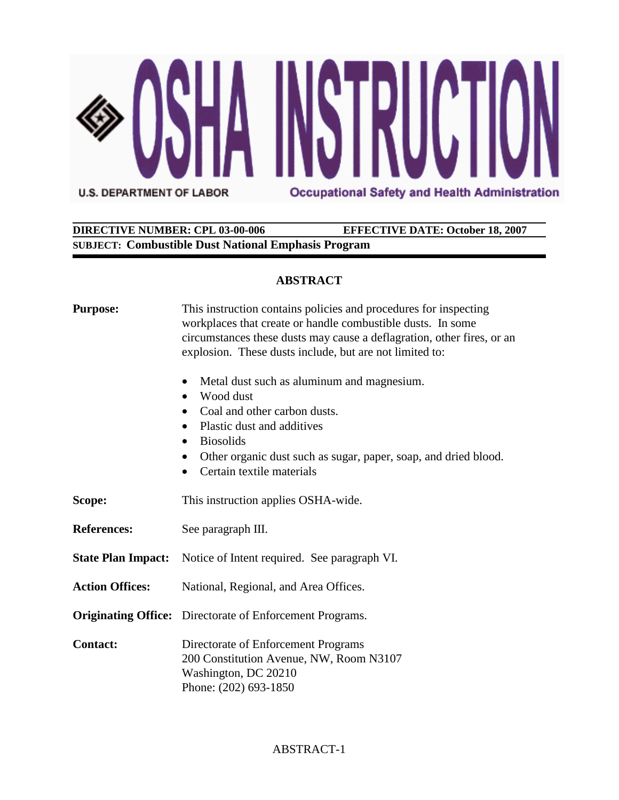

# **DIRECTIVE NUMBER: CPL 03-00-006 EFFECTIVE DATE: October 18, 2007 SUBJECT: Combustible Dust National Emphasis Program**

# **ABSTRACT**

| <b>Purpose:</b>           | This instruction contains policies and procedures for inspecting<br>workplaces that create or handle combustible dusts. In some<br>circumstances these dusts may cause a deflagration, other fires, or an<br>explosion. These dusts include, but are not limited to:<br>Metal dust such as aluminum and magnesium.<br>$\bullet$<br>Wood dust<br>$\bullet$<br>Coal and other carbon dusts.<br>$\bullet$<br>Plastic dust and additives<br>$\bullet$<br><b>Biosolids</b><br>$\bullet$<br>Other organic dust such as sugar, paper, soap, and dried blood.<br>Certain textile materials |  |
|---------------------------|------------------------------------------------------------------------------------------------------------------------------------------------------------------------------------------------------------------------------------------------------------------------------------------------------------------------------------------------------------------------------------------------------------------------------------------------------------------------------------------------------------------------------------------------------------------------------------|--|
| Scope:                    | This instruction applies OSHA-wide.                                                                                                                                                                                                                                                                                                                                                                                                                                                                                                                                                |  |
| <b>References:</b>        | See paragraph III.                                                                                                                                                                                                                                                                                                                                                                                                                                                                                                                                                                 |  |
| <b>State Plan Impact:</b> | Notice of Intent required. See paragraph VI.                                                                                                                                                                                                                                                                                                                                                                                                                                                                                                                                       |  |
| <b>Action Offices:</b>    | National, Regional, and Area Offices.                                                                                                                                                                                                                                                                                                                                                                                                                                                                                                                                              |  |
|                           | <b>Originating Office:</b> Directorate of Enforcement Programs.                                                                                                                                                                                                                                                                                                                                                                                                                                                                                                                    |  |
| <b>Contact:</b>           | Directorate of Enforcement Programs<br>200 Constitution Avenue, NW, Room N3107<br>Washington, DC 20210<br>Phone: (202) 693-1850                                                                                                                                                                                                                                                                                                                                                                                                                                                    |  |

# ABSTRACT-1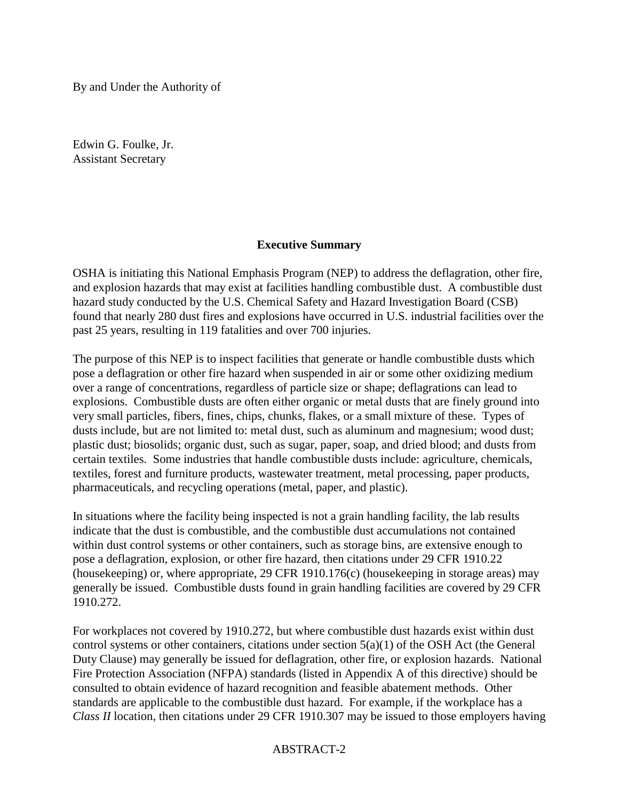By and Under the Authority of

Edwin G. Foulke, Jr. Assistant Secretary

# **Executive Summary**

OSHA is initiating this National Emphasis Program (NEP) to address the deflagration, other fire, and explosion hazards that may exist at facilities handling combustible dust. A combustible dust hazard study conducted by the U.S. Chemical Safety and Hazard Investigation Board (CSB) found that nearly 280 dust fires and explosions have occurred in U.S. industrial facilities over the past 25 years, resulting in 119 fatalities and over 700 injuries.

The purpose of this NEP is to inspect facilities that generate or handle combustible dusts which pose a deflagration or other fire hazard when suspended in air or some other oxidizing medium over a range of concentrations, regardless of particle size or shape; deflagrations can lead to explosions. Combustible dusts are often either organic or metal dusts that are finely ground into very small particles, fibers, fines, chips, chunks, flakes, or a small mixture of these. Types of dusts include, but are not limited to: metal dust, such as aluminum and magnesium; wood dust; plastic dust; biosolids; organic dust, such as sugar, paper, soap, and dried blood; and dusts from certain textiles. Some industries that handle combustible dusts include: agriculture, chemicals, textiles, forest and furniture products, wastewater treatment, metal processing, paper products, pharmaceuticals, and recycling operations (metal, paper, and plastic).

In situations where the facility being inspected is not a grain handling facility, the lab results indicate that the dust is combustible, and the combustible dust accumulations not contained within dust control systems or other containers, such as storage bins, are extensive enough to pose a deflagration, explosion, or other fire hazard, then citations under 29 CFR 1910.22 (housekeeping) or, where appropriate, 29 CFR 1910.176(c) (housekeeping in storage areas) may generally be issued. Combustible dusts found in grain handling facilities are covered by 29 CFR 1910.272.

For workplaces not covered by 1910.272, but where combustible dust hazards exist within dust control systems or other containers, citations under section 5(a)(1) of the OSH Act (the General Duty Clause) may generally be issued for deflagration, other fire, or explosion hazards. National Fire Protection Association (NFPA) standards (listed in Appendix A of this directive) should be consulted to obtain evidence of hazard recognition and feasible abatement methods. Other standards are applicable to the combustible dust hazard. For example, if the workplace has a *Class II* location, then citations under 29 CFR 1910.307 may be issued to those employers having

# ABSTRACT-2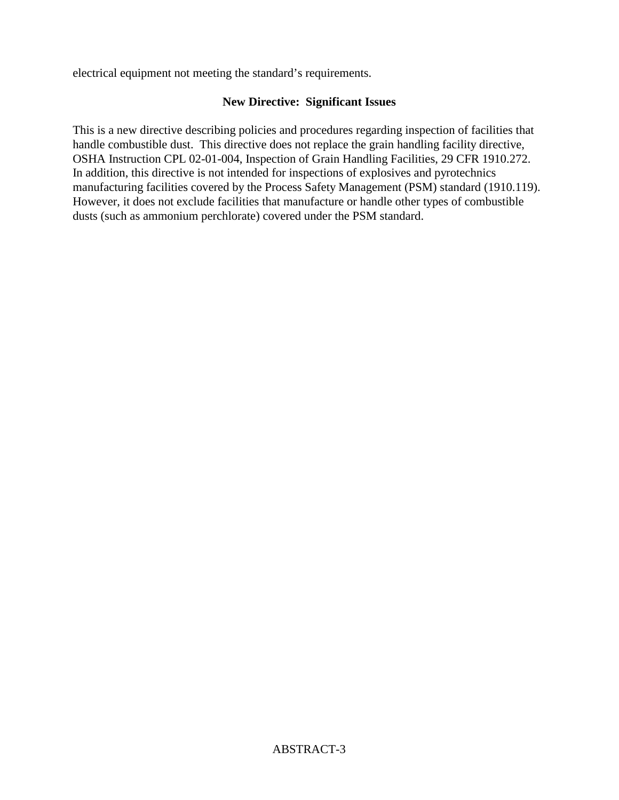electrical equipment not meeting the standard's requirements.

# **New Directive: Significant Issues**

This is a new directive describing policies and procedures regarding inspection of facilities that handle combustible dust. This directive does not replace the grain handling facility directive, OSHA Instruction CPL 02-01-004, Inspection of Grain Handling Facilities, 29 CFR 1910.272. In addition, this directive is not intended for inspections of explosives and pyrotechnics manufacturing facilities covered by the Process Safety Management (PSM) standard (1910.119). However, it does not exclude facilities that manufacture or handle other types of combustible dusts (such as ammonium perchlorate) covered under the PSM standard.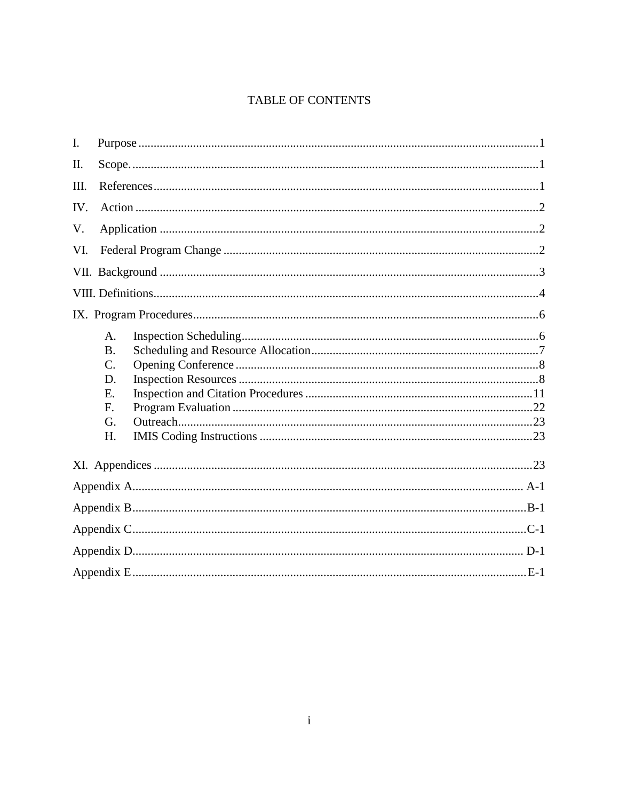# TABLE OF CONTENTS

| I.   |                                                        |  |  |
|------|--------------------------------------------------------|--|--|
| II.  |                                                        |  |  |
| III. |                                                        |  |  |
| IV.  |                                                        |  |  |
| V.   |                                                        |  |  |
| VI.  |                                                        |  |  |
|      |                                                        |  |  |
|      |                                                        |  |  |
|      |                                                        |  |  |
|      | A.<br><b>B.</b><br>$C$ .<br>D.<br>E.<br>F.<br>G.<br>H. |  |  |
|      |                                                        |  |  |
|      |                                                        |  |  |
|      |                                                        |  |  |
|      |                                                        |  |  |
|      |                                                        |  |  |
|      |                                                        |  |  |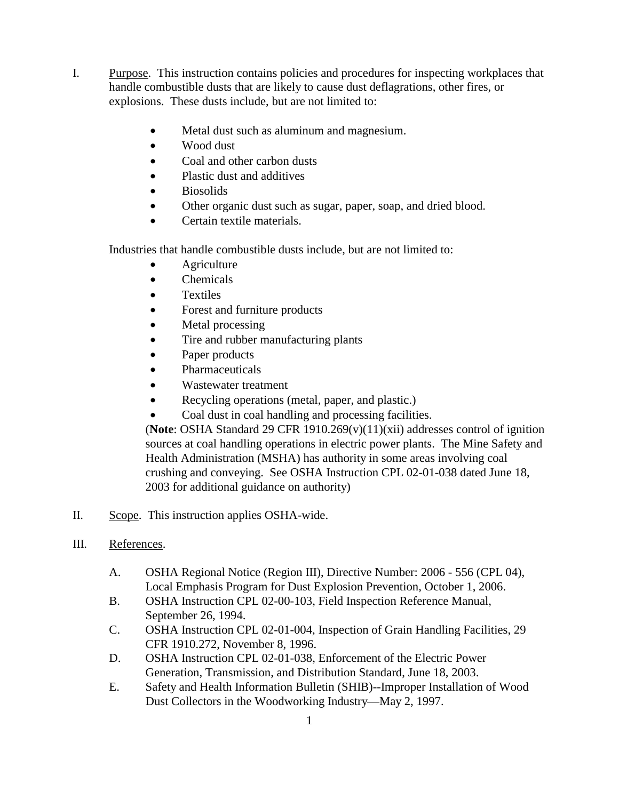- I. Purpose.This instruction contains policies and procedures for inspecting workplaces that handle combustible dusts that are likely to cause dust deflagrations, other fires, or explosions. These dusts include, but are not limited to:
	- Metal dust such as aluminum and magnesium.
	- Wood dust
	- Coal and other carbon dusts
	- Plastic dust and additives
	- Biosolids
	- Other organic dust such as sugar, paper, soap, and dried blood.
	- Certain textile materials.

Industries that handle combustible dusts include, but are not limited to:

- **Agriculture**
- Chemicals
- Textiles
- Forest and furniture products
- Metal processing
- Tire and rubber manufacturing plants
- Paper products
- Pharmaceuticals
- Wastewater treatment
- Recycling operations (metal, paper, and plastic.)
- Coal dust in coal handling and processing facilities.

(**Note**: OSHA Standard 29 CFR 1910.269(v)(11)(xii) addresses control of ignition sources at coal handling operations in electric power plants. The Mine Safety and Health Administration (MSHA) has authority in some areas involving coal crushing and conveying. See OSHA Instruction CPL 02-01-038 dated June 18, 2003 for additional guidance on authority)

- II. Scope. This instruction applies OSHA-wide.
- III. References.
	- A. OSHA Regional Notice (Region III), Directive Number: 2006 556 (CPL 04), Local Emphasis Program for Dust Explosion Prevention, October 1, 2006.
	- B. OSHA Instruction CPL 02-00-103, Field Inspection Reference Manual, September 26, 1994.
	- C. OSHA Instruction CPL 02-01-004, Inspection of Grain Handling Facilities, 29 CFR 1910.272, November 8, 1996.
	- D. OSHA Instruction CPL 02-01-038, Enforcement of the Electric Power Generation, Transmission, and Distribution Standard, June 18, 2003.
	- E. Safety and Health Information Bulletin (SHIB)--Improper Installation of Wood Dust Collectors in the Woodworking Industry—May 2, 1997.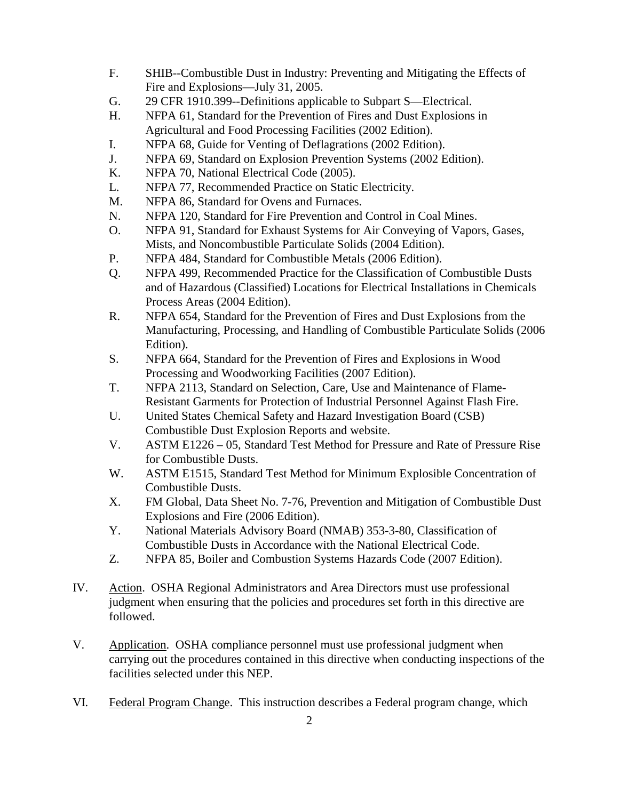- F. SHIB--Combustible Dust in Industry: Preventing and Mitigating the Effects of Fire and Explosions—July 31, 2005.
- G. 29 CFR 1910.399--Definitions applicable to Subpart S—Electrical.
- H. NFPA 61, Standard for the Prevention of Fires and Dust Explosions in Agricultural and Food Processing Facilities (2002 Edition).
- I. NFPA 68, Guide for Venting of Deflagrations (2002 Edition).
- J. NFPA 69, Standard on Explosion Prevention Systems (2002 Edition).
- K. NFPA 70, National Electrical Code (2005).
- L. NFPA 77, Recommended Practice on Static Electricity.
- M. NFPA 86, Standard for Ovens and Furnaces.
- N. NFPA 120, Standard for Fire Prevention and Control in Coal Mines.
- O. NFPA 91, Standard for Exhaust Systems for Air Conveying of Vapors, Gases, Mists, and Noncombustible Particulate Solids (2004 Edition).
- P. NFPA 484, Standard for Combustible Metals (2006 Edition).
- Q. NFPA 499, Recommended Practice for the Classification of Combustible Dusts and of Hazardous (Classified) Locations for Electrical Installations in Chemicals Process Areas (2004 Edition).
- R. NFPA 654, Standard for the Prevention of Fires and Dust Explosions from the Manufacturing, Processing, and Handling of Combustible Particulate Solids (2006 Edition).
- S. NFPA 664, Standard for the Prevention of Fires and Explosions in Wood Processing and Woodworking Facilities (2007 Edition).
- T. NFPA 2113, Standard on Selection, Care, Use and Maintenance of Flame-Resistant Garments for Protection of Industrial Personnel Against Flash Fire.
- U. United States Chemical Safety and Hazard Investigation Board (CSB) Combustible Dust Explosion Reports and website.
- V. ASTM E1226 05, Standard Test Method for Pressure and Rate of Pressure Rise for Combustible Dusts.
- W. ASTM E1515, Standard Test Method for Minimum Explosible Concentration of Combustible Dusts.
- X. FM Global, Data Sheet No. 7-76, Prevention and Mitigation of Combustible Dust Explosions and Fire (2006 Edition).
- Y. National Materials Advisory Board (NMAB) 353-3-80, Classification of Combustible Dusts in Accordance with the National Electrical Code.
- Z. NFPA 85, Boiler and Combustion Systems Hazards Code (2007 Edition).
- IV. Action. OSHA Regional Administrators and Area Directors must use professional judgment when ensuring that the policies and procedures set forth in this directive are followed.
- V. Application. OSHA compliance personnel must use professional judgment when carrying out the procedures contained in this directive when conducting inspections of the facilities selected under this NEP.
- VI. Federal Program Change. This instruction describes a Federal program change, which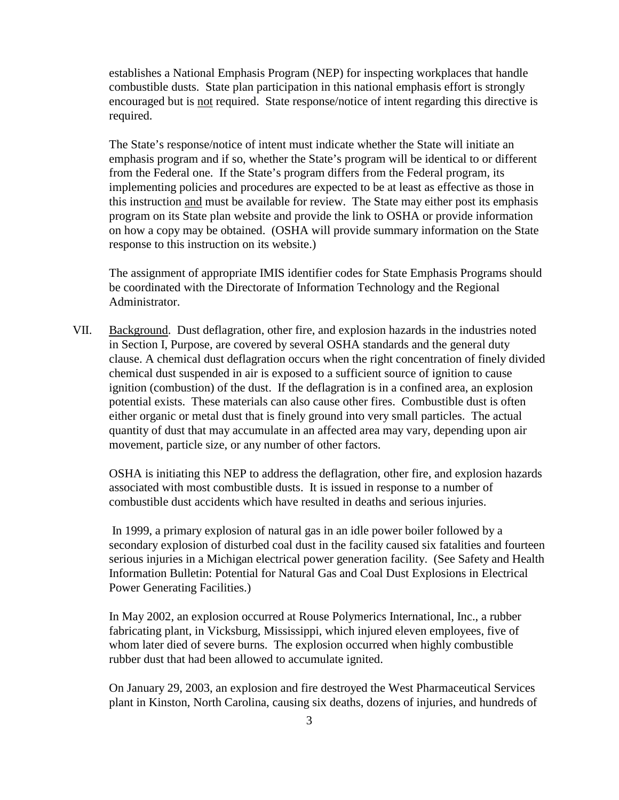establishes a National Emphasis Program (NEP) for inspecting workplaces that handle combustible dusts. State plan participation in this national emphasis effort is strongly encouraged but is not required. State response/notice of intent regarding this directive is required.

 The State's response/notice of intent must indicate whether the State will initiate an emphasis program and if so, whether the State's program will be identical to or different from the Federal one. If the State's program differs from the Federal program, its implementing policies and procedures are expected to be at least as effective as those in this instruction and must be available for review. The State may either post its emphasis program on its State plan website and provide the link to OSHA or provide information on how a copy may be obtained. (OSHA will provide summary information on the State response to this instruction on its website.)

 The assignment of appropriate IMIS identifier codes for State Emphasis Programs should be coordinated with the Directorate of Information Technology and the Regional Administrator.

VII. Background. Dust deflagration, other fire, and explosion hazards in the industries noted in Section I, Purpose, are covered by several OSHA standards and the general duty clause. A chemical dust deflagration occurs when the right concentration of finely divided chemical dust suspended in air is exposed to a sufficient source of ignition to cause ignition (combustion) of the dust. If the deflagration is in a confined area, an explosion potential exists. These materials can also cause other fires. Combustible dust is often either organic or metal dust that is finely ground into very small particles. The actual quantity of dust that may accumulate in an affected area may vary, depending upon air movement, particle size, or any number of other factors.

OSHA is initiating this NEP to address the deflagration, other fire, and explosion hazards associated with most combustible dusts. It is issued in response to a number of combustible dust accidents which have resulted in deaths and serious injuries.

 In 1999, a primary explosion of natural gas in an idle power boiler followed by a secondary explosion of disturbed coal dust in the facility caused six fatalities and fourteen serious injuries in a Michigan electrical power generation facility. (See Safety and Health Information Bulletin: Potential for Natural Gas and Coal Dust Explosions in Electrical Power Generating Facilities.)

In May 2002, an explosion occurred at Rouse Polymerics International, Inc., a rubber fabricating plant, in Vicksburg, Mississippi, which injured eleven employees, five of whom later died of severe burns. The explosion occurred when highly combustible rubber dust that had been allowed to accumulate ignited.

On January 29, 2003, an explosion and fire destroyed the West Pharmaceutical Services plant in Kinston, North Carolina, causing six deaths, dozens of injuries, and hundreds of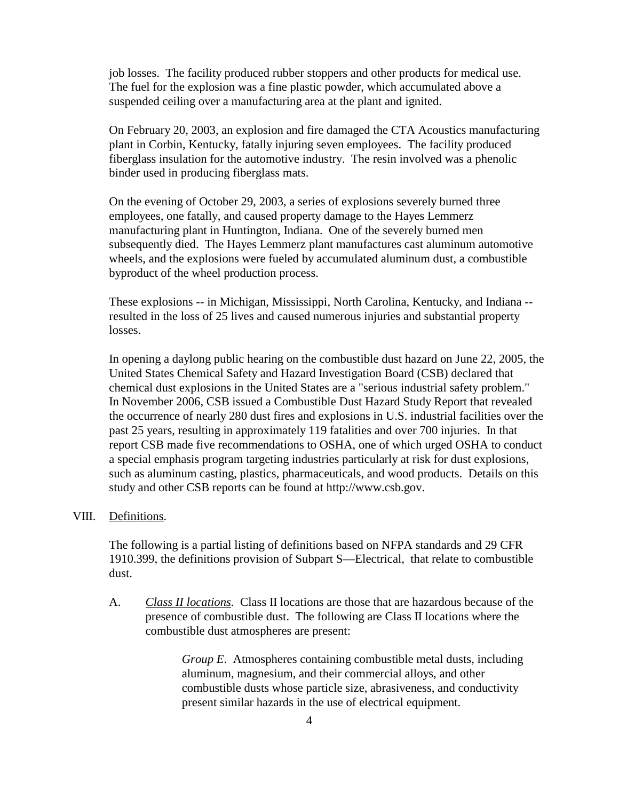job losses. The facility produced rubber stoppers and other products for medical use. The fuel for the explosion was a fine plastic powder, which accumulated above a suspended ceiling over a manufacturing area at the plant and ignited.

On February 20, 2003, an explosion and fire damaged the CTA Acoustics manufacturing plant in Corbin, Kentucky, fatally injuring seven employees. The facility produced fiberglass insulation for the automotive industry. The resin involved was a phenolic binder used in producing fiberglass mats.

On the evening of October 29, 2003, a series of explosions severely burned three employees, one fatally, and caused property damage to the Hayes Lemmerz manufacturing plant in Huntington, Indiana. One of the severely burned men subsequently died. The Hayes Lemmerz plant manufactures cast aluminum automotive wheels, and the explosions were fueled by accumulated aluminum dust, a combustible byproduct of the wheel production process.

These explosions -- in Michigan, Mississippi, North Carolina, Kentucky, and Indiana - resulted in the loss of 25 lives and caused numerous injuries and substantial property losses.

In opening a daylong public hearing on the combustible dust hazard on June 22, 2005, the United States Chemical Safety and Hazard Investigation Board (CSB) declared that chemical dust explosions in the United States are a "serious industrial safety problem." In November 2006, CSB issued a Combustible Dust Hazard Study Report that revealed the occurrence of nearly 280 dust fires and explosions in U.S. industrial facilities over the past 25 years, resulting in approximately 119 fatalities and over 700 injuries. In that report CSB made five recommendations to OSHA, one of which urged OSHA to conduct a special emphasis program targeting industries particularly at risk for dust explosions, such as aluminum casting, plastics, pharmaceuticals, and wood products. Details on this study and other CSB reports can be found at http://www.csb.gov.

### VIII. Definitions.

The following is a partial listing of definitions based on NFPA standards and 29 CFR 1910.399, the definitions provision of Subpart S—Electrical, that relate to combustible dust.

A. *Class II locations.* Class II locations are those that are hazardous because of the presence of combustible dust. The following are Class II locations where the combustible dust atmospheres are present:

> *Group E*. Atmospheres containing combustible metal dusts, including aluminum, magnesium, and their commercial alloys, and other combustible dusts whose particle size, abrasiveness, and conductivity present similar hazards in the use of electrical equipment.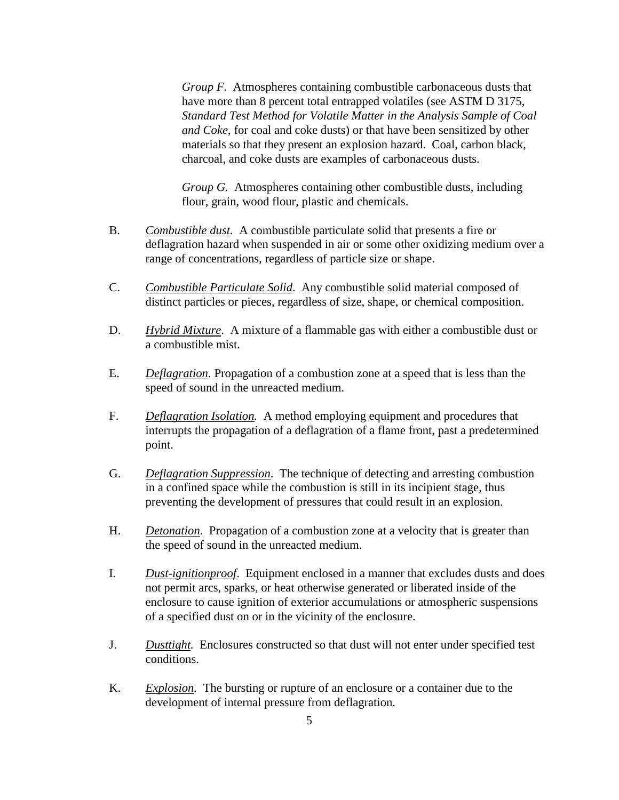*Group F*. Atmospheres containing combustible carbonaceous dusts that have more than 8 percent total entrapped volatiles (see ASTM D 3175, *Standard Test Method for Volatile Matter in the Analysis Sample of Coal and Coke*, for coal and coke dusts) or that have been sensitized by other materials so that they present an explosion hazard. Coal, carbon black, charcoal, and coke dusts are examples of carbonaceous dusts.

*Group G.* Atmospheres containing other combustible dusts, including flour, grain, wood flour, plastic and chemicals.

- B. *Combustible dust.* A combustible particulate solid that presents a fire or deflagration hazard when suspended in air or some other oxidizing medium over a range of concentrations, regardless of particle size or shape.
- C. *Combustible Particulate Solid*. Any combustible solid material composed of distinct particles or pieces, regardless of size, shape, or chemical composition.
- D. *Hybrid Mixture*. A mixture of a flammable gas with either a combustible dust or a combustible mist.
- E. *Deflagration*. Propagation of a combustion zone at a speed that is less than the speed of sound in the unreacted medium.
- F. *Deflagration Isolation.* A method employing equipment and procedures that interrupts the propagation of a deflagration of a flame front, past a predetermined point.
- G. *Deflagration Suppression*. The technique of detecting and arresting combustion in a confined space while the combustion is still in its incipient stage, thus preventing the development of pressures that could result in an explosion.
- H. *Detonation*. Propagation of a combustion zone at a velocity that is greater than the speed of sound in the unreacted medium.
- I. *Dust*-*ignitionproof*. Equipment enclosed in a manner that excludes dusts and does not permit arcs, sparks, or heat otherwise generated or liberated inside of the enclosure to cause ignition of exterior accumulations or atmospheric suspensions of a specified dust on or in the vicinity of the enclosure.
- J. *Dusttight.* Enclosures constructed so that dust will not enter under specified test conditions.
- K. *Explosion.* The bursting or rupture of an enclosure or a container due to the development of internal pressure from deflagration.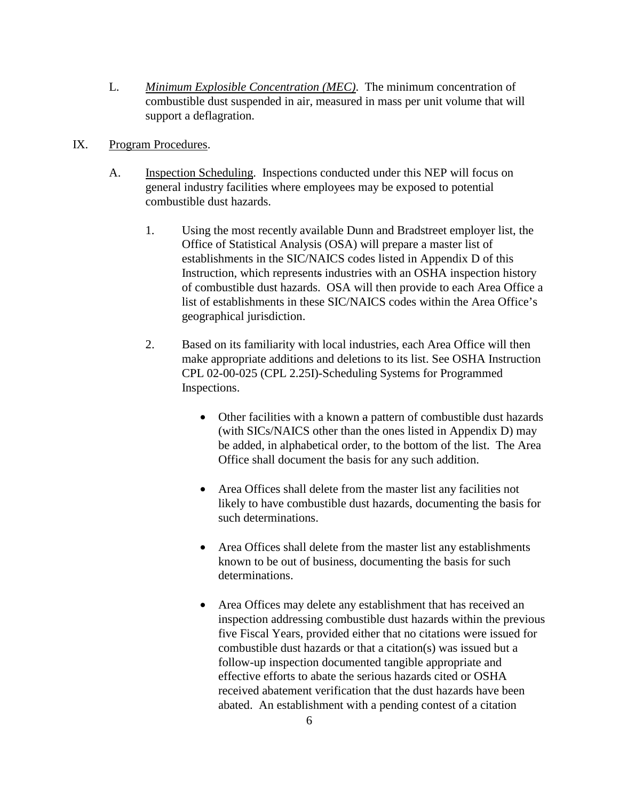- L. *Minimum Explosible Concentration (MEC)*. The minimum concentration of combustible dust suspended in air, measured in mass per unit volume that will support a deflagration.
- IX. Program Procedures.
	- A. Inspection Scheduling.Inspections conducted under this NEP will focus on general industry facilities where employees may be exposed to potential combustible dust hazards.
		- 1. Using the most recently available Dunn and Bradstreet employer list, the Office of Statistical Analysis (OSA) will prepare a master list of establishments in the SIC/NAICS codes listed in Appendix D of this Instruction, which represents industries with an OSHA inspection history of combustible dust hazards. OSA will then provide to each Area Office a list of establishments in these SIC/NAICS codes within the Area Office's geographical jurisdiction.
		- 2. Based on its familiarity with local industries, each Area Office will then make appropriate additions and deletions to its list. See OSHA Instruction CPL 02-00-025 (CPL 2.25I)-Scheduling Systems for Programmed Inspections.
			- Other facilities with a known a pattern of combustible dust hazards (with SICs/NAICS other than the ones listed in Appendix D) may be added, in alphabetical order, to the bottom of the list. The Area Office shall document the basis for any such addition.
			- Area Offices shall delete from the master list any facilities not likely to have combustible dust hazards, documenting the basis for such determinations.
			- Area Offices shall delete from the master list any establishments known to be out of business, documenting the basis for such determinations.
			- Area Offices may delete any establishment that has received an inspection addressing combustible dust hazards within the previous five Fiscal Years, provided either that no citations were issued for combustible dust hazards or that a citation(s) was issued but a follow-up inspection documented tangible appropriate and effective efforts to abate the serious hazards cited or OSHA received abatement verification that the dust hazards have been abated. An establishment with a pending contest of a citation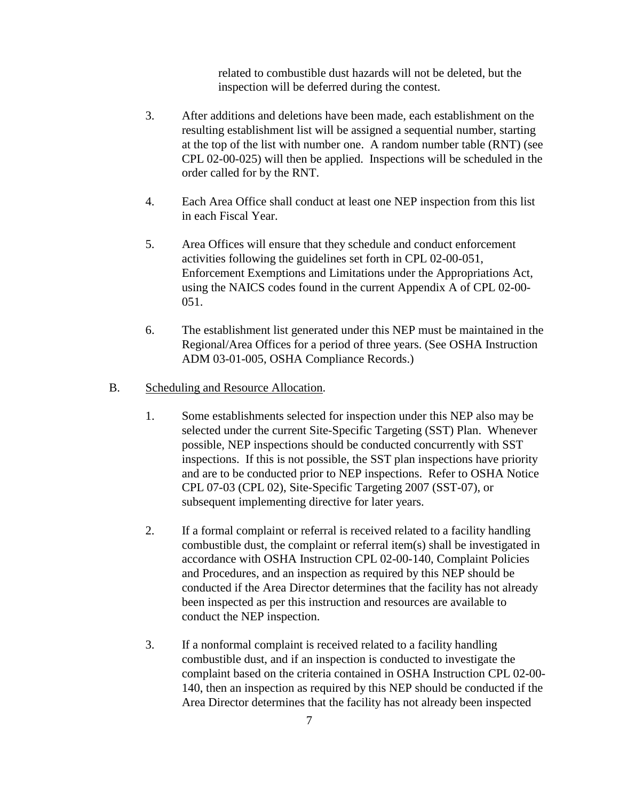related to combustible dust hazards will not be deleted, but the inspection will be deferred during the contest.

- 3. After additions and deletions have been made, each establishment on the resulting establishment list will be assigned a sequential number, starting at the top of the list with number one. A random number table (RNT) (see CPL 02-00-025) will then be applied. Inspections will be scheduled in the order called for by the RNT.
- 4. Each Area Office shall conduct at least one NEP inspection from this list in each Fiscal Year.
- 5. Area Offices will ensure that they schedule and conduct enforcement activities following the guidelines set forth in CPL 02-00-051, Enforcement Exemptions and Limitations under the Appropriations Act, using the NAICS codes found in the current Appendix A of CPL 02-00- 051.
- 6. The establishment list generated under this NEP must be maintained in the Regional/Area Offices for a period of three years. (See OSHA Instruction ADM 03-01-005, OSHA Compliance Records.)

#### B. Scheduling and Resource Allocation.

- 1. Some establishments selected for inspection under this NEP also may be selected under the current Site-Specific Targeting (SST) Plan. Whenever possible, NEP inspections should be conducted concurrently with SST inspections. If this is not possible, the SST plan inspections have priority and are to be conducted prior to NEP inspections. Refer to OSHA Notice CPL 07-03 (CPL 02), Site-Specific Targeting 2007 (SST-07), or subsequent implementing directive for later years.
- 2. If a formal complaint or referral is received related to a facility handling combustible dust, the complaint or referral item(s) shall be investigated in accordance with OSHA Instruction CPL 02-00-140, Complaint Policies and Procedures, and an inspection as required by this NEP should be conducted if the Area Director determines that the facility has not already been inspected as per this instruction and resources are available to conduct the NEP inspection.
- 3. If a nonformal complaint is received related to a facility handling combustible dust, and if an inspection is conducted to investigate the complaint based on the criteria contained in OSHA Instruction CPL 02-00- 140, then an inspection as required by this NEP should be conducted if the Area Director determines that the facility has not already been inspected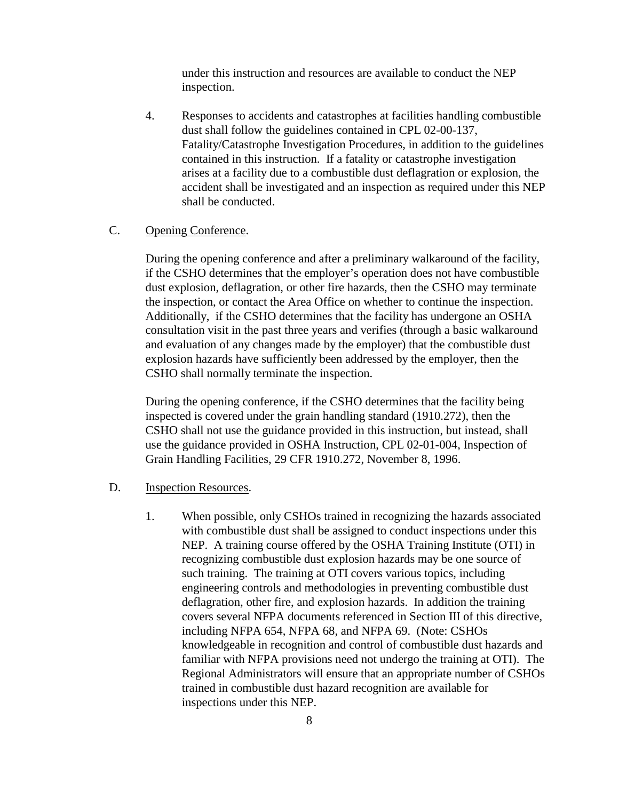under this instruction and resources are available to conduct the NEP inspection.

4. Responses to accidents and catastrophes at facilities handling combustible dust shall follow the guidelines contained in CPL 02-00-137, Fatality/Catastrophe Investigation Procedures, in addition to the guidelines contained in this instruction. If a fatality or catastrophe investigation arises at a facility due to a combustible dust deflagration or explosion, the accident shall be investigated and an inspection as required under this NEP shall be conducted.

### C. Opening Conference.

During the opening conference and after a preliminary walkaround of the facility, if the CSHO determines that the employer's operation does not have combustible dust explosion, deflagration, or other fire hazards, then the CSHO may terminate the inspection, or contact the Area Office on whether to continue the inspection. Additionally, if the CSHO determines that the facility has undergone an OSHA consultation visit in the past three years and verifies (through a basic walkaround and evaluation of any changes made by the employer) that the combustible dust explosion hazards have sufficiently been addressed by the employer, then the CSHO shall normally terminate the inspection.

During the opening conference, if the CSHO determines that the facility being inspected is covered under the grain handling standard (1910.272), then the CSHO shall not use the guidance provided in this instruction, but instead, shall use the guidance provided in OSHA Instruction, CPL 02-01-004, Inspection of Grain Handling Facilities, 29 CFR 1910.272, November 8, 1996.

#### D. Inspection Resources.

 1. When possible, only CSHOs trained in recognizing the hazards associated with combustible dust shall be assigned to conduct inspections under this NEP. A training course offered by the OSHA Training Institute (OTI) in recognizing combustible dust explosion hazards may be one source of such training. The training at OTI covers various topics, including engineering controls and methodologies in preventing combustible dust deflagration, other fire, and explosion hazards. In addition the training covers several NFPA documents referenced in Section III of this directive, including NFPA 654, NFPA 68, and NFPA 69. (Note: CSHOs knowledgeable in recognition and control of combustible dust hazards and familiar with NFPA provisions need not undergo the training at OTI). The Regional Administrators will ensure that an appropriate number of CSHOs trained in combustible dust hazard recognition are available for inspections under this NEP.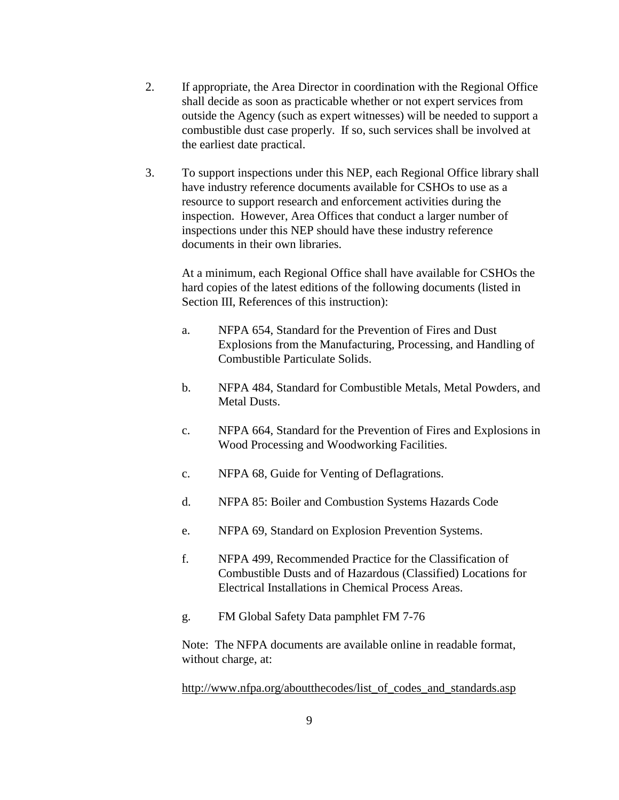- 2. If appropriate, the Area Director in coordination with the Regional Office shall decide as soon as practicable whether or not expert services from outside the Agency (such as expert witnesses) will be needed to support a combustible dust case properly. If so, such services shall be involved at the earliest date practical.
- 3. To support inspections under this NEP, each Regional Office library shall have industry reference documents available for CSHOs to use as a resource to support research and enforcement activities during the inspection. However, Area Offices that conduct a larger number of inspections under this NEP should have these industry reference documents in their own libraries.

 At a minimum, each Regional Office shall have available for CSHOs the hard copies of the latest editions of the following documents (listed in Section III, References of this instruction):

- a. NFPA 654, Standard for the Prevention of Fires and Dust Explosions from the Manufacturing, Processing, and Handling of Combustible Particulate Solids.
- b. NFPA 484, Standard for Combustible Metals, Metal Powders, and Metal Dusts.
- c. NFPA 664, Standard for the Prevention of Fires and Explosions in Wood Processing and Woodworking Facilities.
- c. NFPA 68, Guide for Venting of Deflagrations.
- d. NFPA 85: Boiler and Combustion Systems Hazards Code
- e. NFPA 69, Standard on Explosion Prevention Systems.
- f. NFPA 499, Recommended Practice for the Classification of Combustible Dusts and of Hazardous (Classified) Locations for Electrical Installations in Chemical Process Areas.
- g. FM Global Safety Data pamphlet FM 7-76

 Note: The NFPA documents are available online in readable format, without charge, at:

http://www.nfpa.org/aboutthecodes/list\_of\_codes\_and\_standards.asp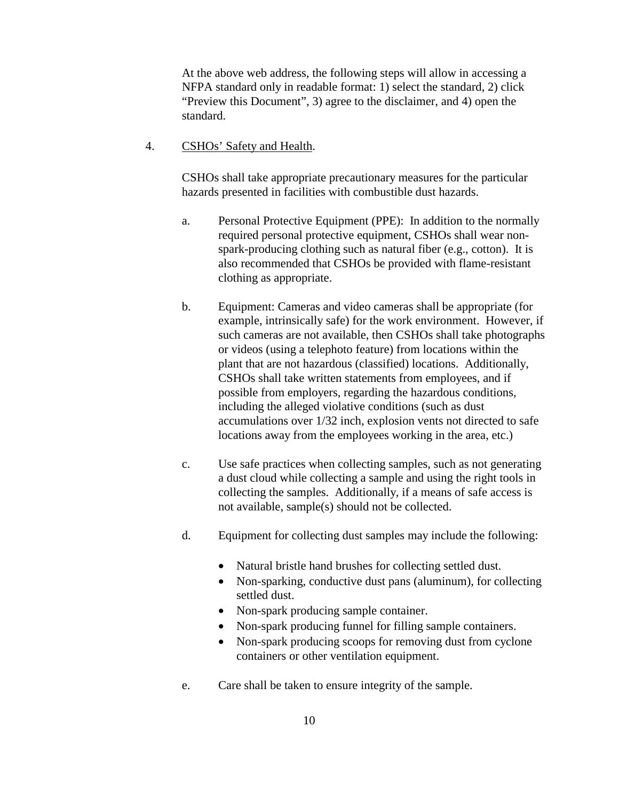At the above web address, the following steps will allow in accessing a NFPA standard only in readable format: 1) select the standard, 2) click "Preview this Document", 3) agree to the disclaimer, and 4) open the standard.

4. CSHOs' Safety and Health.

 CSHOs shall take appropriate precautionary measures for the particular hazards presented in facilities with combustible dust hazards.

- a. Personal Protective Equipment (PPE): In addition to the normally required personal protective equipment, CSHOs shall wear nonspark-producing clothing such as natural fiber (e.g., cotton). It is also recommended that CSHOs be provided with flame-resistant clothing as appropriate.
- b. Equipment: Cameras and video cameras shall be appropriate (for example, intrinsically safe) for the work environment. However, if such cameras are not available, then CSHOs shall take photographs or videos (using a telephoto feature) from locations within the plant that are not hazardous (classified) locations. Additionally, CSHOs shall take written statements from employees, and if possible from employers, regarding the hazardous conditions, including the alleged violative conditions (such as dust accumulations over 1/32 inch, explosion vents not directed to safe locations away from the employees working in the area, etc.)
- c. Use safe practices when collecting samples, such as not generating a dust cloud while collecting a sample and using the right tools in collecting the samples. Additionally, if a means of safe access is not available, sample(s) should not be collected.
- d. Equipment for collecting dust samples may include the following:
	- Natural bristle hand brushes for collecting settled dust.
	- Non-sparking, conductive dust pans (aluminum), for collecting settled dust.
	- Non-spark producing sample container.
	- Non-spark producing funnel for filling sample containers.
	- Non-spark producing scoops for removing dust from cyclone containers or other ventilation equipment.
- e. Care shall be taken to ensure integrity of the sample.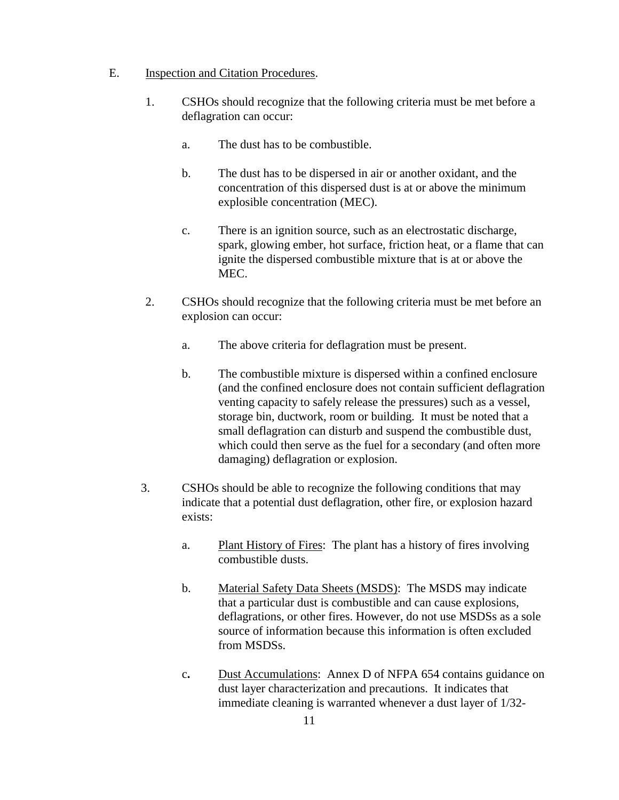#### E. Inspection and Citation Procedures.

- 1. CSHOs should recognize that the following criteria must be met before a deflagration can occur:
	- a. The dust has to be combustible.
	- b. The dust has to be dispersed in air or another oxidant, and the concentration of this dispersed dust is at or above the minimum explosible concentration (MEC).
	- c. There is an ignition source, such as an electrostatic discharge, spark, glowing ember, hot surface, friction heat, or a flame that can ignite the dispersed combustible mixture that is at or above the MEC.
- 2. CSHOs should recognize that the following criteria must be met before an explosion can occur:
	- a. The above criteria for deflagration must be present.
	- b. The combustible mixture is dispersed within a confined enclosure (and the confined enclosure does not contain sufficient deflagration venting capacity to safely release the pressures) such as a vessel, storage bin, ductwork, room or building. It must be noted that a small deflagration can disturb and suspend the combustible dust, which could then serve as the fuel for a secondary (and often more damaging) deflagration or explosion.
- 3. CSHOs should be able to recognize the following conditions that may indicate that a potential dust deflagration, other fire, or explosion hazard exists:
	- a. Plant History of Fires:The plant has a history of fires involving combustible dusts.
	- b. Material Safety Data Sheets (MSDS): The MSDS may indicate that a particular dust is combustible and can cause explosions, deflagrations, or other fires. However, do not use MSDSs as a sole source of information because this information is often excluded from MSDSs.
	- c**.** Dust Accumulations:Annex D of NFPA 654 contains guidance on dust layer characterization and precautions. It indicates that immediate cleaning is warranted whenever a dust layer of 1/32-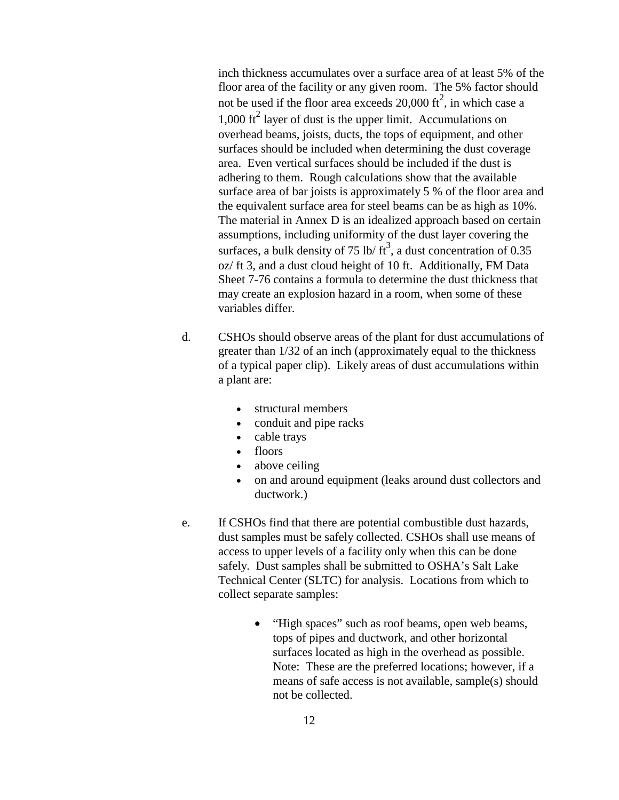inch thickness accumulates over a surface area of at least 5% of the floor area of the facility or any given room. The 5% factor should not be used if the floor area exceeds  $20,000$  ft<sup>2</sup>, in which case a  $1,000 \text{ ft}^2$  layer of dust is the upper limit. Accumulations on overhead beams, joists, ducts, the tops of equipment, and other surfaces should be included when determining the dust coverage area. Even vertical surfaces should be included if the dust is adhering to them. Rough calculations show that the available surface area of bar joists is approximately 5 % of the floor area and the equivalent surface area for steel beams can be as high as 10%. The material in Annex D is an idealized approach based on certain assumptions, including uniformity of the dust layer covering the surfaces, a bulk density of 75 lb/ $\text{ft}^3$ , a dust concentration of 0.35 oz/ ft 3, and a dust cloud height of 10 ft. Additionally, FM Data Sheet 7-76 contains a formula to determine the dust thickness that may create an explosion hazard in a room, when some of these variables differ.

- d. CSHOs should observe areas of the plant for dust accumulations of greater than 1/32 of an inch (approximately equal to the thickness of a typical paper clip). Likely areas of dust accumulations within a plant are:
	- structural members
	- conduit and pipe racks
	- cable trays
	- floors
	- above ceiling
	- on and around equipment (leaks around dust collectors and ductwork.)
- e. If CSHOs find that there are potential combustible dust hazards, dust samples must be safely collected. CSHOs shall use means of access to upper levels of a facility only when this can be done safely. Dust samples shall be submitted to OSHA's Salt Lake Technical Center (SLTC) for analysis. Locations from which to collect separate samples:
	- "High spaces" such as roof beams, open web beams, tops of pipes and ductwork, and other horizontal surfaces located as high in the overhead as possible. Note: These are the preferred locations; however, if a means of safe access is not available, sample(s) should not be collected.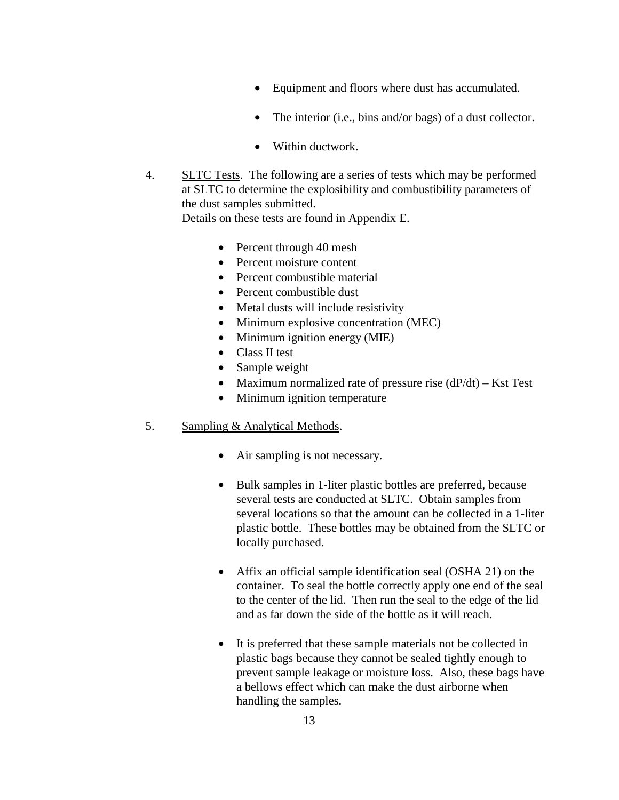- Equipment and floors where dust has accumulated.
- The interior (i.e., bins and/or bags) of a dust collector.
- Within ductwork.
- 4. SLTC Tests. The following are a series of tests which may be performed at SLTC to determine the explosibility and combustibility parameters of the dust samples submitted. Details on these tests are found in Appendix E.

- Percent through 40 mesh
- Percent moisture content
- Percent combustible material
- Percent combustible dust
- Metal dusts will include resistivity
- Minimum explosive concentration (MEC)
- Minimum ignition energy (MIE)
- Class II test
- Sample weight
- Maximum normalized rate of pressure rise  $(dP/dt) Kst$  Test
- Minimum ignition temperature

### 5. Sampling & Analytical Methods.

- Air sampling is not necessary.
- Bulk samples in 1-liter plastic bottles are preferred, because several tests are conducted at SLTC. Obtain samples from several locations so that the amount can be collected in a 1-liter plastic bottle. These bottles may be obtained from the SLTC or locally purchased.
- Affix an official sample identification seal (OSHA 21) on the container. To seal the bottle correctly apply one end of the seal to the center of the lid. Then run the seal to the edge of the lid and as far down the side of the bottle as it will reach.
- It is preferred that these sample materials not be collected in plastic bags because they cannot be sealed tightly enough to prevent sample leakage or moisture loss. Also, these bags have a bellows effect which can make the dust airborne when handling the samples.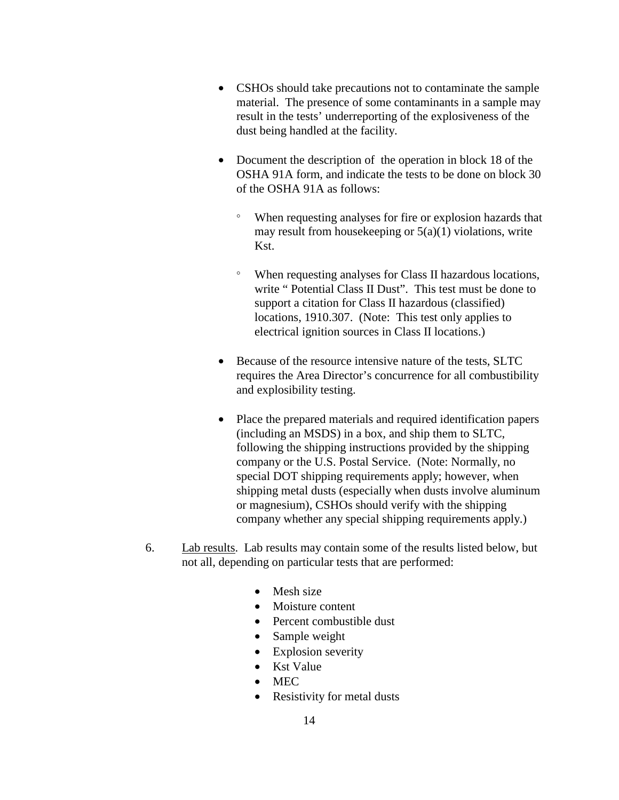- CSHOs should take precautions not to contaminate the sample material. The presence of some contaminants in a sample may result in the tests' underreporting of the explosiveness of the dust being handled at the facility.
- Document the description of the operation in block 18 of the OSHA 91A form, and indicate the tests to be done on block 30 of the OSHA 91A as follows:
	- ° When requesting analyses for fire or explosion hazards that may result from house keeping or  $5(a)(1)$  violations, write Kst.
	- ° When requesting analyses for Class II hazardous locations, write " Potential Class II Dust". This test must be done to support a citation for Class II hazardous (classified) locations, 1910.307. (Note: This test only applies to electrical ignition sources in Class II locations.)
- Because of the resource intensive nature of the tests, SLTC requires the Area Director's concurrence for all combustibility and explosibility testing.
- Place the prepared materials and required identification papers (including an MSDS) in a box, and ship them to SLTC, following the shipping instructions provided by the shipping company or the U.S. Postal Service. (Note: Normally, no special DOT shipping requirements apply; however, when shipping metal dusts (especially when dusts involve aluminum or magnesium), CSHOs should verify with the shipping company whether any special shipping requirements apply.)
- 6. Lab results. Lab results may contain some of the results listed below, but not all, depending on particular tests that are performed:
	- Mesh size
	- Moisture content
	- Percent combustible dust
	- Sample weight
	- Explosion severity
	- Kst Value
	- MEC
	- Resistivity for metal dusts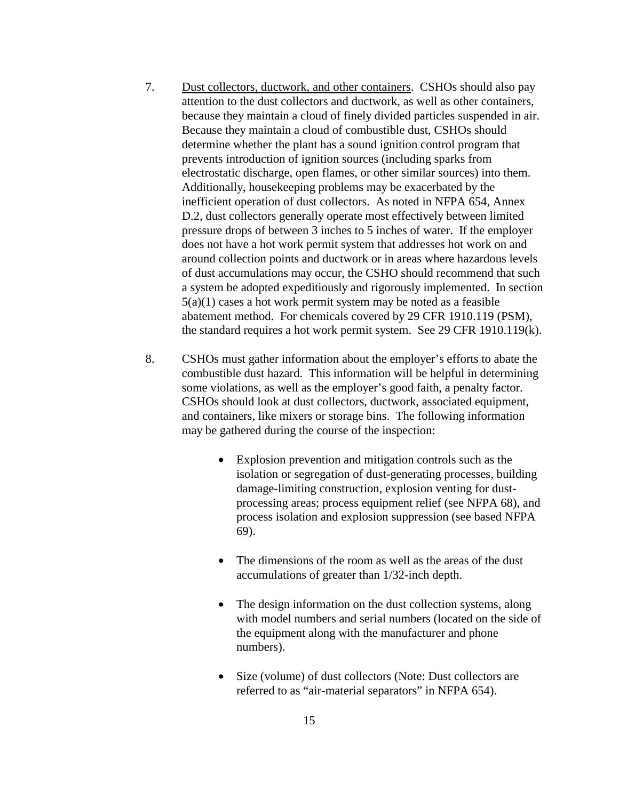- 7. Dust collectors, ductwork, and other containers. CSHOs should also pay attention to the dust collectors and ductwork, as well as other containers, because they maintain a cloud of finely divided particles suspended in air. Because they maintain a cloud of combustible dust, CSHOs should determine whether the plant has a sound ignition control program that prevents introduction of ignition sources (including sparks from electrostatic discharge, open flames, or other similar sources) into them. Additionally, housekeeping problems may be exacerbated by the inefficient operation of dust collectors. As noted in NFPA 654, Annex D.2, dust collectors generally operate most effectively between limited pressure drops of between 3 inches to 5 inches of water. If the employer does not have a hot work permit system that addresses hot work on and around collection points and ductwork or in areas where hazardous levels of dust accumulations may occur, the CSHO should recommend that such a system be adopted expeditiously and rigorously implemented. In section 5(a)(1) cases a hot work permit system may be noted as a feasible abatement method. For chemicals covered by 29 CFR 1910.119 (PSM), the standard requires a hot work permit system. See 29 CFR 1910.119(k).
- 8. CSHOs must gather information about the employer's efforts to abate the combustible dust hazard. This information will be helpful in determining some violations, as well as the employer's good faith, a penalty factor. CSHOs should look at dust collectors, ductwork, associated equipment, and containers, like mixers or storage bins. The following information may be gathered during the course of the inspection:
	- Explosion prevention and mitigation controls such as the isolation or segregation of dust-generating processes, building damage-limiting construction, explosion venting for dustprocessing areas; process equipment relief (see NFPA 68), and process isolation and explosion suppression (see based NFPA 69).
	- The dimensions of the room as well as the areas of the dust accumulations of greater than 1/32-inch depth.
	- The design information on the dust collection systems, along with model numbers and serial numbers (located on the side of the equipment along with the manufacturer and phone numbers).
	- Size (volume) of dust collectors (Note: Dust collectors are referred to as "air-material separators" in NFPA 654).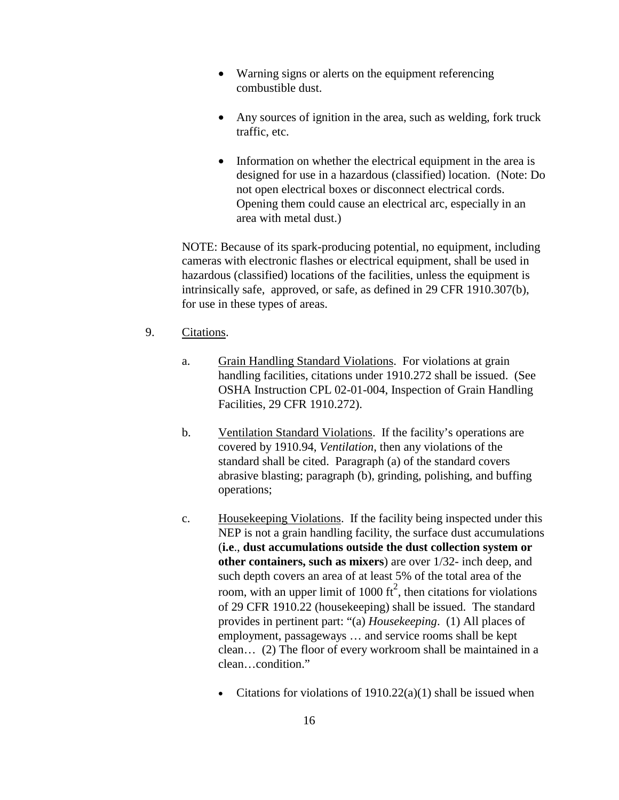- Warning signs or alerts on the equipment referencing combustible dust.
- Any sources of ignition in the area, such as welding, fork truck traffic, etc.
- Information on whether the electrical equipment in the area is designed for use in a hazardous (classified) location. (Note: Do not open electrical boxes or disconnect electrical cords. Opening them could cause an electrical arc, especially in an area with metal dust.)

 NOTE: Because of its spark-producing potential, no equipment, including cameras with electronic flashes or electrical equipment, shall be used in hazardous (classified) locations of the facilities, unless the equipment is intrinsically safe, approved, or safe, as defined in 29 CFR 1910.307(b), for use in these types of areas.

- 9. Citations.
	- a. Grain Handling Standard Violations. For violations at grain handling facilities, citations under 1910.272 shall be issued. (See OSHA Instruction CPL 02-01-004, Inspection of Grain Handling Facilities, 29 CFR 1910.272).
	- b. Ventilation Standard Violations. If the facility's operations are covered by 1910.94, *Ventilation*, then any violations of the standard shall be cited. Paragraph (a) of the standard covers abrasive blasting; paragraph (b), grinding, polishing, and buffing operations;
	- c. Housekeeping Violations. If the facility being inspected under this NEP is not a grain handling facility, the surface dust accumulations (**i.e**., **dust accumulations outside the dust collection system or other containers, such as mixers**) are over 1/32- inch deep, and such depth covers an area of at least 5% of the total area of the room, with an upper limit of 1000  $\text{ft}^2$ , then citations for violations of 29 CFR 1910.22 (housekeeping) shall be issued. The standard provides in pertinent part: "(a) *Housekeeping*. (1) All places of employment, passageways … and service rooms shall be kept clean… (2) The floor of every workroom shall be maintained in a clean…condition."
		- Citations for violations of  $1910.22(a)(1)$  shall be issued when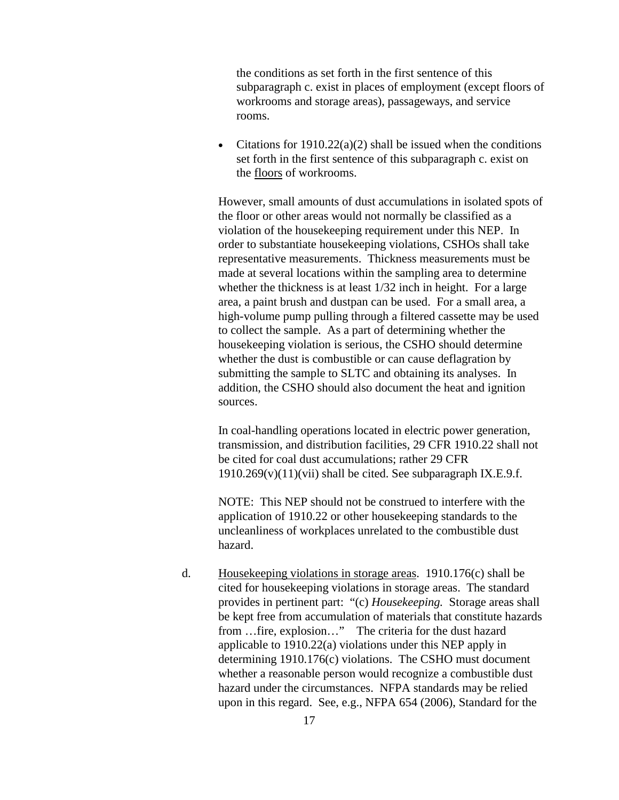the conditions as set forth in the first sentence of this subparagraph c. exist in places of employment (except floors of workrooms and storage areas), passageways, and service rooms.

• Citations for  $1910.22(a)(2)$  shall be issued when the conditions set forth in the first sentence of this subparagraph c. exist on the floors of workrooms.

However, small amounts of dust accumulations in isolated spots of the floor or other areas would not normally be classified as a violation of the housekeeping requirement under this NEP. In order to substantiate housekeeping violations, CSHOs shall take representative measurements. Thickness measurements must be made at several locations within the sampling area to determine whether the thickness is at least 1/32 inch in height. For a large area, a paint brush and dustpan can be used. For a small area, a high-volume pump pulling through a filtered cassette may be used to collect the sample. As a part of determining whether the housekeeping violation is serious, the CSHO should determine whether the dust is combustible or can cause deflagration by submitting the sample to SLTC and obtaining its analyses. In addition, the CSHO should also document the heat and ignition sources.

In coal-handling operations located in electric power generation, transmission, and distribution facilities, 29 CFR 1910.22 shall not be cited for coal dust accumulations; rather 29 CFR  $1910.269(v)(11)(vii)$  shall be cited. See subparagraph IX.E.9.f.

NOTE: This NEP should not be construed to interfere with the application of 1910.22 or other housekeeping standards to the uncleanliness of workplaces unrelated to the combustible dust hazard.

d. Housekeeping violations in storage areas. 1910.176(c) shall be cited for housekeeping violations in storage areas. The standard provides in pertinent part: "(c) *Housekeeping.* Storage areas shall be kept free from accumulation of materials that constitute hazards from …fire, explosion…" The criteria for the dust hazard applicable to 1910.22(a) violations under this NEP apply in determining 1910.176(c) violations. The CSHO must document whether a reasonable person would recognize a combustible dust hazard under the circumstances. NFPA standards may be relied upon in this regard. See, e.g., NFPA 654 (2006), Standard for the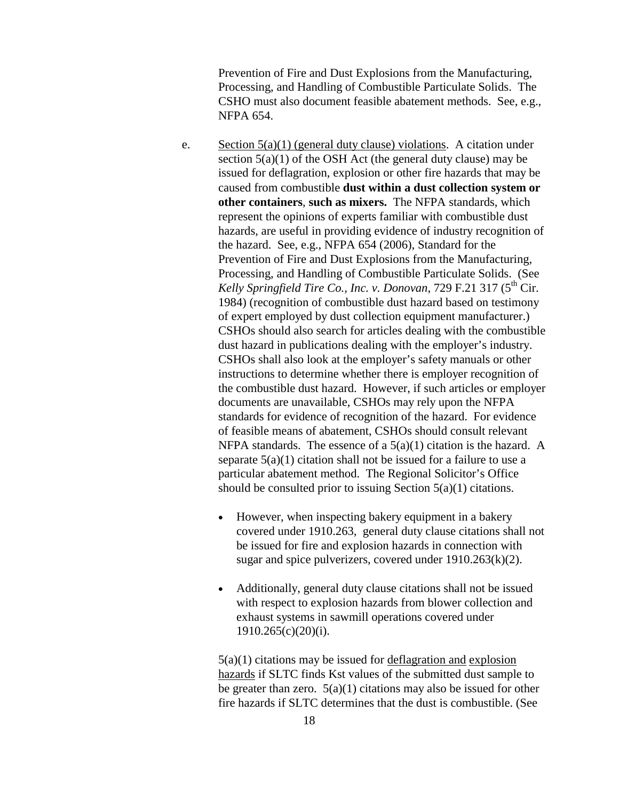Prevention of Fire and Dust Explosions from the Manufacturing, Processing, and Handling of Combustible Particulate Solids. The CSHO must also document feasible abatement methods. See, e.g., NFPA 654.

- e. Section  $5(a)(1)$  (general duty clause) violations. A citation under section  $5(a)(1)$  of the OSH Act (the general duty clause) may be issued for deflagration, explosion or other fire hazards that may be caused from combustible **dust within a dust collection system or other containers**, **such as mixers.** The NFPA standards, which represent the opinions of experts familiar with combustible dust hazards, are useful in providing evidence of industry recognition of the hazard. See, e.g., NFPA 654 (2006), Standard for the Prevention of Fire and Dust Explosions from the Manufacturing, Processing, and Handling of Combustible Particulate Solids. (See *Kelly Springfield Tire Co., Inc. v. Donovan, 729 F.21 317 (* $5<sup>th</sup> Cir$ *).* 1984) (recognition of combustible dust hazard based on testimony of expert employed by dust collection equipment manufacturer.) CSHOs should also search for articles dealing with the combustible dust hazard in publications dealing with the employer's industry. CSHOs shall also look at the employer's safety manuals or other instructions to determine whether there is employer recognition of the combustible dust hazard. However, if such articles or employer documents are unavailable, CSHOs may rely upon the NFPA standards for evidence of recognition of the hazard. For evidence of feasible means of abatement, CSHOs should consult relevant NFPA standards. The essence of a  $5(a)(1)$  citation is the hazard. A separate  $5(a)(1)$  citation shall not be issued for a failure to use a particular abatement method. The Regional Solicitor's Office should be consulted prior to issuing Section 5(a)(1) citations.
	- However, when inspecting bakery equipment in a bakery covered under 1910.263, general duty clause citations shall not be issued for fire and explosion hazards in connection with sugar and spice pulverizers, covered under  $1910.263(k)(2)$ .
	- Additionally, general duty clause citations shall not be issued with respect to explosion hazards from blower collection and exhaust systems in sawmill operations covered under 1910.265(c)(20)(i).

5(a)(1) citations may be issued for deflagration and explosion hazards if SLTC finds Kst values of the submitted dust sample to be greater than zero.  $5(a)(1)$  citations may also be issued for other fire hazards if SLTC determines that the dust is combustible. (See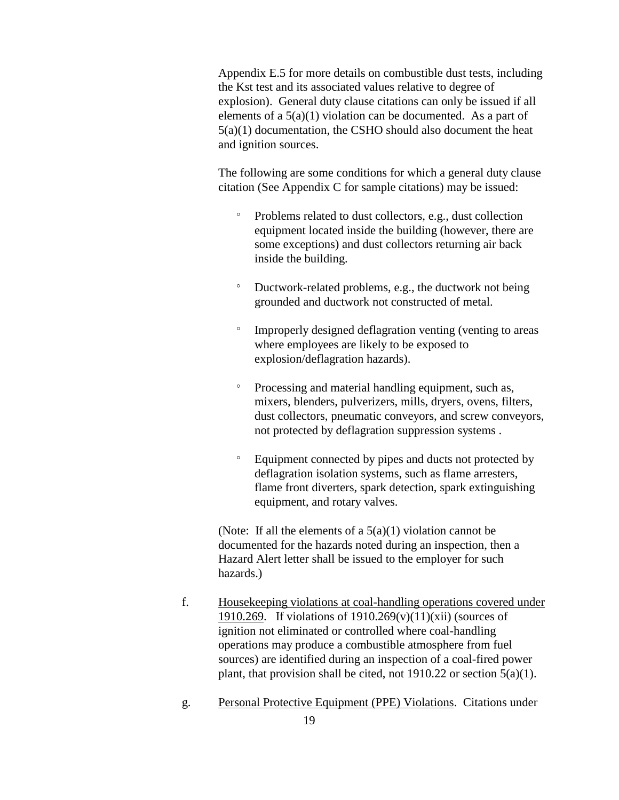Appendix E.5 for more details on combustible dust tests, including the Kst test and its associated values relative to degree of explosion). General duty clause citations can only be issued if all elements of a  $5(a)(1)$  violation can be documented. As a part of 5(a)(1) documentation, the CSHO should also document the heat and ignition sources.

The following are some conditions for which a general duty clause citation (See Appendix C for sample citations) may be issued:

- ° Problems related to dust collectors, e.g., dust collection equipment located inside the building (however, there are some exceptions) and dust collectors returning air back inside the building.
- ° Ductwork-related problems, e.g., the ductwork not being grounded and ductwork not constructed of metal.
- ° Improperly designed deflagration venting (venting to areas where employees are likely to be exposed to explosion/deflagration hazards).
- ° Processing and material handling equipment, such as, mixers, blenders, pulverizers, mills, dryers, ovens, filters, dust collectors, pneumatic conveyors, and screw conveyors, not protected by deflagration suppression systems .
- ° Equipment connected by pipes and ducts not protected by deflagration isolation systems, such as flame arresters, flame front diverters, spark detection, spark extinguishing equipment, and rotary valves.

(Note: If all the elements of a  $5(a)(1)$  violation cannot be documented for the hazards noted during an inspection, then a Hazard Alert letter shall be issued to the employer for such hazards.)

- f. Housekeeping violations at coal-handling operations covered under 1910.269. If violations of  $1910.269(v)(11)(xii)$  (sources of ignition not eliminated or controlled where coal-handling operations may produce a combustible atmosphere from fuel sources) are identified during an inspection of a coal-fired power plant, that provision shall be cited, not 1910.22 or section  $5(a)(1)$ .
- g. Personal Protective Equipment (PPE) Violations. Citations under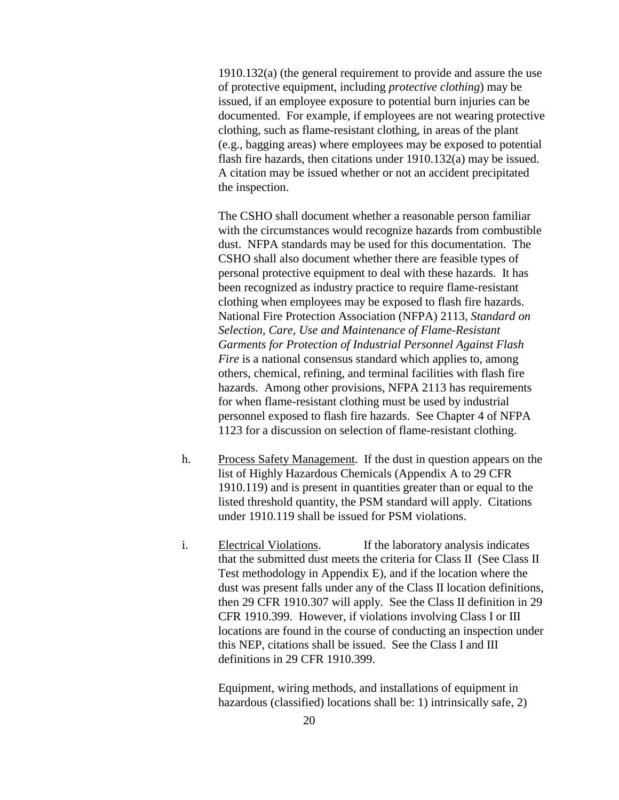1910.132(a) (the general requirement to provide and assure the use of protective equipment, including *protective clothing*) may be issued, if an employee exposure to potential burn injuries can be documented. For example, if employees are not wearing protective clothing, such as flame-resistant clothing, in areas of the plant (e.g., bagging areas) where employees may be exposed to potential flash fire hazards, then citations under 1910.132(a) may be issued. A citation may be issued whether or not an accident precipitated the inspection.

The CSHO shall document whether a reasonable person familiar with the circumstances would recognize hazards from combustible dust. NFPA standards may be used for this documentation. The CSHO shall also document whether there are feasible types of personal protective equipment to deal with these hazards. It has been recognized as industry practice to require flame-resistant clothing when employees may be exposed to flash fire hazards. National Fire Protection Association (NFPA) 2113, *Standard on Selection, Care, Use and Maintenance of Flame-Resistant Garments for Protection of Industrial Personnel Against Flash Fire* is a national consensus standard which applies to, among others, chemical, refining, and terminal facilities with flash fire hazards. Among other provisions, NFPA 2113 has requirements for when flame-resistant clothing must be used by industrial personnel exposed to flash fire hazards. See Chapter 4 of NFPA 1123 for a discussion on selection of flame-resistant clothing.

- h. Process Safety Management. If the dust in question appears on the list of Highly Hazardous Chemicals (Appendix A to 29 CFR 1910.119) and is present in quantities greater than or equal to the listed threshold quantity, the PSM standard will apply. Citations under 1910.119 shall be issued for PSM violations.
- i. Electrical Violations. If the laboratory analysis indicates that the submitted dust meets the criteria for Class II (See Class II Test methodology in Appendix E), and if the location where the dust was present falls under any of the Class II location definitions, then 29 CFR 1910.307 will apply. See the Class II definition in 29 CFR 1910.399. However, if violations involving Class I or III locations are found in the course of conducting an inspection under this NEP, citations shall be issued. See the Class I and III definitions in 29 CFR 1910.399.

 Equipment, wiring methods, and installations of equipment in hazardous (classified) locations shall be: 1) intrinsically safe, 2)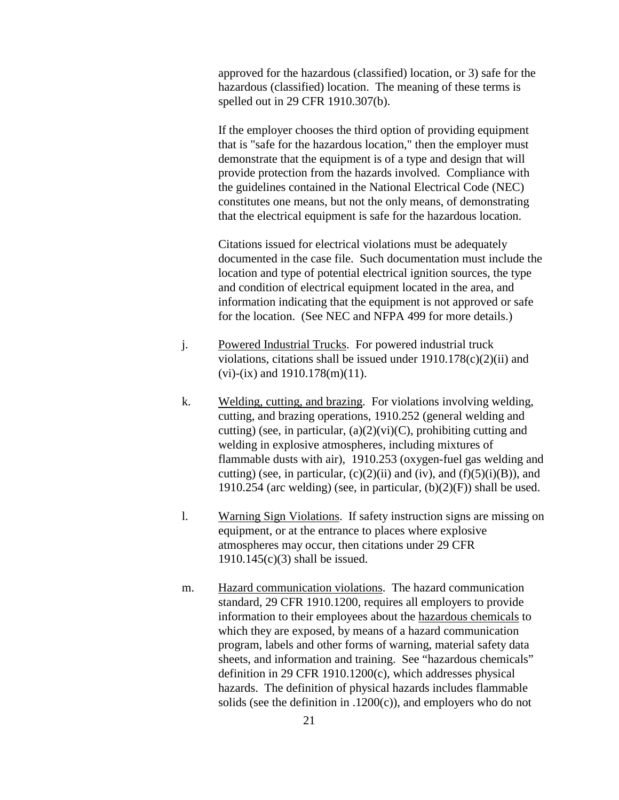approved for the hazardous (classified) location, or 3) safe for the hazardous (classified) location. The meaning of these terms is spelled out in 29 CFR 1910.307(b).

 If the employer chooses the third option of providing equipment that is "safe for the hazardous location," then the employer must demonstrate that the equipment is of a type and design that will provide protection from the hazards involved. Compliance with the guidelines contained in the National Electrical Code (NEC) constitutes one means, but not the only means, of demonstrating that the electrical equipment is safe for the hazardous location.

Citations issued for electrical violations must be adequately documented in the case file. Such documentation must include the location and type of potential electrical ignition sources, the type and condition of electrical equipment located in the area, and information indicating that the equipment is not approved or safe for the location. (See NEC and NFPA 499 for more details.)

- j. Powered Industrial Trucks. For powered industrial truck violations, citations shall be issued under  $1910.178(c)(2)(ii)$  and  $(vi)-(ix)$  and  $1910.178(m)(11)$ .
- k. Welding, cutting, and brazing. For violations involving welding, cutting, and brazing operations, 1910.252 (general welding and cutting) (see, in particular,  $(a)(2)(vi)(C)$ , prohibiting cutting and welding in explosive atmospheres, including mixtures of flammable dusts with air), 1910.253 (oxygen-fuel gas welding and cutting) (see, in particular,  $(c)(2)(ii)$  and  $(iv)$ , and  $(f)(5)(i)(B)$ ), and 1910.254 (arc welding) (see, in particular,  $(b)(2)(F)$ ) shall be used.
- l. Warning Sign Violations. If safety instruction signs are missing on equipment, or at the entrance to places where explosive atmospheres may occur, then citations under 29 CFR 1910.145(c)(3) shall be issued.
- m. Hazard communication violations. The hazard communication standard, 29 CFR 1910.1200, requires all employers to provide information to their employees about the hazardous chemicals to which they are exposed, by means of a hazard communication program, labels and other forms of warning, material safety data sheets, and information and training. See "hazardous chemicals" definition in 29 CFR 1910.1200(c), which addresses physical hazards. The definition of physical hazards includes flammable solids (see the definition in .1200 $(c)$ ), and employers who do not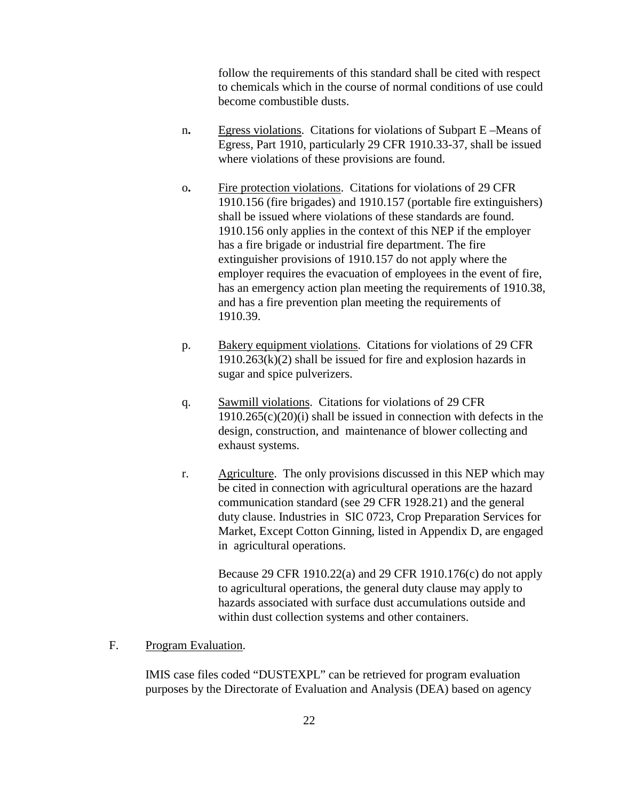follow the requirements of this standard shall be cited with respect to chemicals which in the course of normal conditions of use could become combustible dusts.

- n**.** Egress violations. Citations for violations of Subpart E –Means of Egress, Part 1910, particularly 29 CFR 1910.33-37, shall be issued where violations of these provisions are found.
- o**.** Fire protection violations. Citations for violations of 29 CFR 1910.156 (fire brigades) and 1910.157 (portable fire extinguishers) shall be issued where violations of these standards are found. 1910.156 only applies in the context of this NEP if the employer has a fire brigade or industrial fire department. The fire extinguisher provisions of 1910.157 do not apply where the employer requires the evacuation of employees in the event of fire, has an emergency action plan meeting the requirements of 1910.38, and has a fire prevention plan meeting the requirements of 1910.39.
- p. Bakery equipment violations. Citations for violations of 29 CFR  $1910.263(k)(2)$  shall be issued for fire and explosion hazards in sugar and spice pulverizers.
- q. Sawmill violations. Citations for violations of 29 CFR  $1910.265(c)(20)(i)$  shall be issued in connection with defects in the design, construction, and maintenance of blower collecting and exhaust systems.
- r. Agriculture. The only provisions discussed in this NEP which may be cited in connection with agricultural operations are the hazard communication standard (see 29 CFR 1928.21) and the general duty clause. Industries in SIC 0723, Crop Preparation Services for Market, Except Cotton Ginning, listed in Appendix D, are engaged in agricultural operations.

 Because 29 CFR 1910.22(a) and 29 CFR 1910.176(c) do not apply to agricultural operations, the general duty clause may apply to hazards associated with surface dust accumulations outside and within dust collection systems and other containers.

### F. Program Evaluation.

IMIS case files coded "DUSTEXPL" can be retrieved for program evaluation purposes by the Directorate of Evaluation and Analysis (DEA) based on agency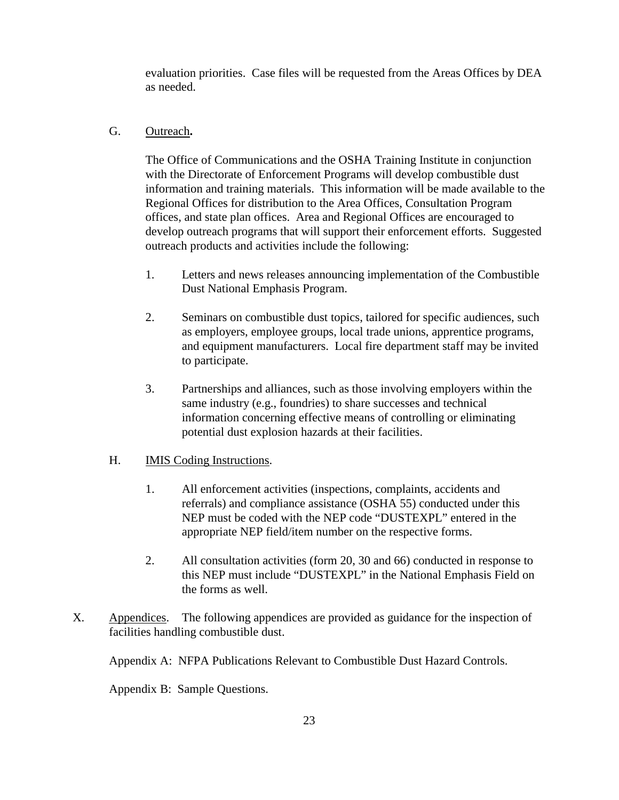evaluation priorities. Case files will be requested from the Areas Offices by DEA as needed.

### G. Outreach**.**

The Office of Communications and the OSHA Training Institute in conjunction with the Directorate of Enforcement Programs will develop combustible dust information and training materials. This information will be made available to the Regional Offices for distribution to the Area Offices, Consultation Program offices, and state plan offices. Area and Regional Offices are encouraged to develop outreach programs that will support their enforcement efforts. Suggested outreach products and activities include the following:

- 1. Letters and news releases announcing implementation of the Combustible Dust National Emphasis Program.
- 2. Seminars on combustible dust topics, tailored for specific audiences, such as employers, employee groups, local trade unions, apprentice programs, and equipment manufacturers. Local fire department staff may be invited to participate.
- 3. Partnerships and alliances, such as those involving employers within the same industry (e.g., foundries) to share successes and technical information concerning effective means of controlling or eliminating potential dust explosion hazards at their facilities.

### H. IMIS Coding Instructions.

- 1. All enforcement activities (inspections, complaints, accidents and referrals) and compliance assistance (OSHA 55) conducted under this NEP must be coded with the NEP code "DUSTEXPL" entered in the appropriate NEP field/item number on the respective forms.
- 2. All consultation activities (form 20, 30 and 66) conducted in response to this NEP must include "DUSTEXPL" in the National Emphasis Field on the forms as well.
- X. Appendices. The following appendices are provided as guidance for the inspection of facilities handling combustible dust.

Appendix A: NFPA Publications Relevant to Combustible Dust Hazard Controls.

Appendix B: Sample Questions.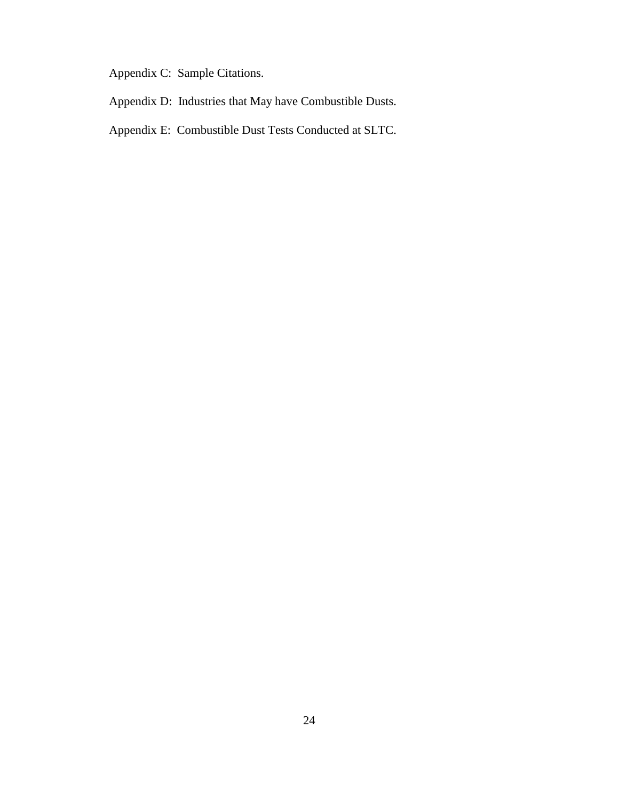Appendix C: Sample Citations.

- Appendix D: Industries that May have Combustible Dusts.
- Appendix E: Combustible Dust Tests Conducted at SLTC.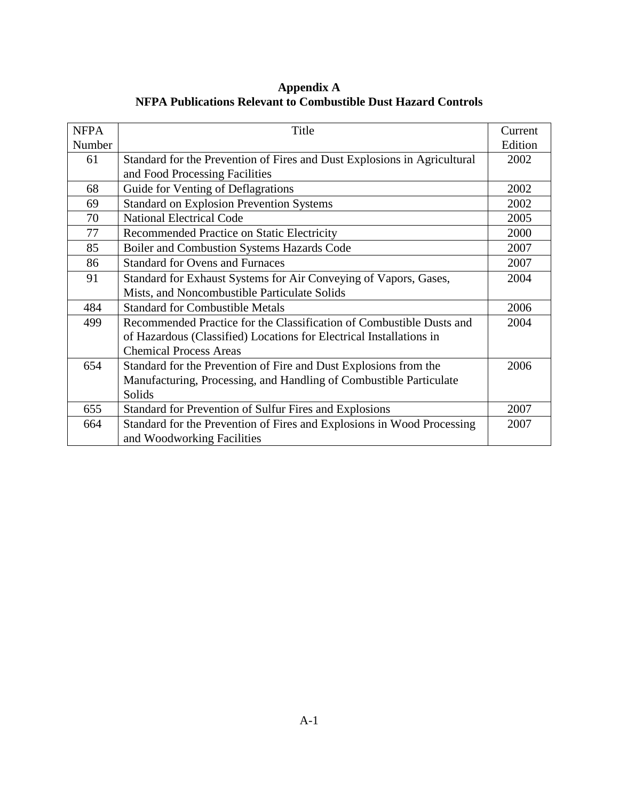**Appendix A NFPA Publications Relevant to Combustible Dust Hazard Controls** 

| <b>NFPA</b> | Title                                                                    | Current |
|-------------|--------------------------------------------------------------------------|---------|
| Number      |                                                                          | Edition |
| 61          | Standard for the Prevention of Fires and Dust Explosions in Agricultural | 2002    |
|             | and Food Processing Facilities                                           |         |
| 68          | Guide for Venting of Deflagrations                                       | 2002    |
| 69          | <b>Standard on Explosion Prevention Systems</b>                          | 2002    |
| 70          | <b>National Electrical Code</b>                                          | 2005    |
| 77          | Recommended Practice on Static Electricity                               | 2000    |
| 85          | Boiler and Combustion Systems Hazards Code                               | 2007    |
| 86          | <b>Standard for Ovens and Furnaces</b>                                   | 2007    |
| 91          | Standard for Exhaust Systems for Air Conveying of Vapors, Gases,         | 2004    |
|             | Mists, and Noncombustible Particulate Solids                             |         |
| 484         | <b>Standard for Combustible Metals</b>                                   | 2006    |
| 499         | Recommended Practice for the Classification of Combustible Dusts and     | 2004    |
|             | of Hazardous (Classified) Locations for Electrical Installations in      |         |
|             | <b>Chemical Process Areas</b>                                            |         |
| 654         | Standard for the Prevention of Fire and Dust Explosions from the         | 2006    |
|             | Manufacturing, Processing, and Handling of Combustible Particulate       |         |
|             | Solids                                                                   |         |
| 655         | Standard for Prevention of Sulfur Fires and Explosions                   | 2007    |
| 664         | Standard for the Prevention of Fires and Explosions in Wood Processing   | 2007    |
|             | and Woodworking Facilities                                               |         |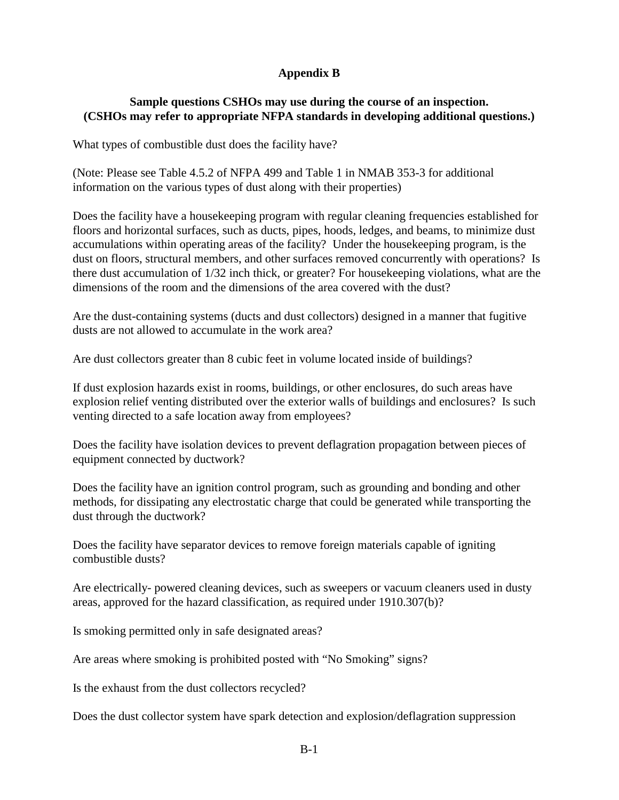# **Appendix B**

# **Sample questions CSHOs may use during the course of an inspection. (CSHOs may refer to appropriate NFPA standards in developing additional questions.)**

What types of combustible dust does the facility have?

(Note: Please see Table 4.5.2 of NFPA 499 and Table 1 in NMAB 353-3 for additional information on the various types of dust along with their properties)

Does the facility have a housekeeping program with regular cleaning frequencies established for floors and horizontal surfaces, such as ducts, pipes, hoods, ledges, and beams, to minimize dust accumulations within operating areas of the facility? Under the housekeeping program, is the dust on floors, structural members, and other surfaces removed concurrently with operations? Is there dust accumulation of 1/32 inch thick, or greater? For housekeeping violations, what are the dimensions of the room and the dimensions of the area covered with the dust?

Are the dust-containing systems (ducts and dust collectors) designed in a manner that fugitive dusts are not allowed to accumulate in the work area?

Are dust collectors greater than 8 cubic feet in volume located inside of buildings?

If dust explosion hazards exist in rooms, buildings, or other enclosures, do such areas have explosion relief venting distributed over the exterior walls of buildings and enclosures? Is such venting directed to a safe location away from employees?

Does the facility have isolation devices to prevent deflagration propagation between pieces of equipment connected by ductwork?

Does the facility have an ignition control program, such as grounding and bonding and other methods, for dissipating any electrostatic charge that could be generated while transporting the dust through the ductwork?

Does the facility have separator devices to remove foreign materials capable of igniting combustible dusts?

Are electrically- powered cleaning devices, such as sweepers or vacuum cleaners used in dusty areas, approved for the hazard classification, as required under 1910.307(b)?

Is smoking permitted only in safe designated areas?

Are areas where smoking is prohibited posted with "No Smoking" signs?

Is the exhaust from the dust collectors recycled?

Does the dust collector system have spark detection and explosion/deflagration suppression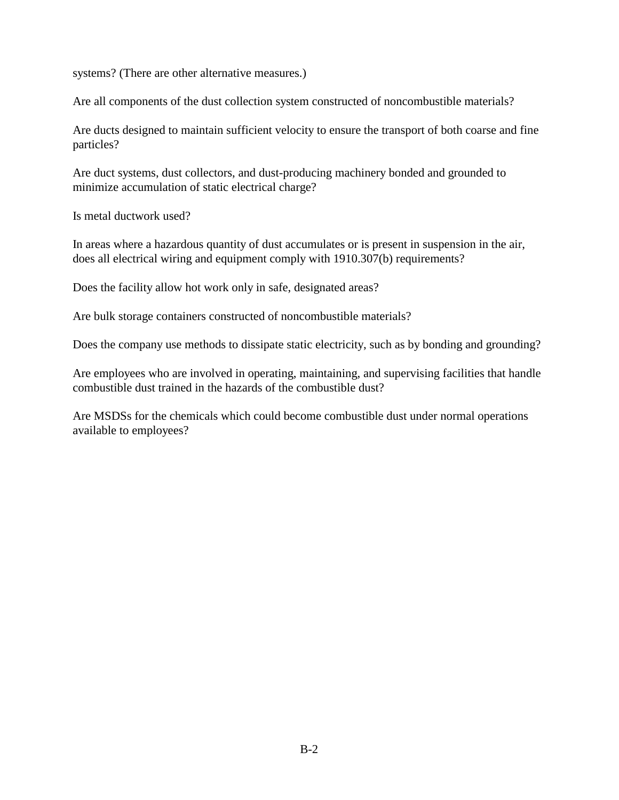systems? (There are other alternative measures.)

Are all components of the dust collection system constructed of noncombustible materials?

Are ducts designed to maintain sufficient velocity to ensure the transport of both coarse and fine particles?

Are duct systems, dust collectors, and dust-producing machinery bonded and grounded to minimize accumulation of static electrical charge?

Is metal ductwork used?

In areas where a hazardous quantity of dust accumulates or is present in suspension in the air, does all electrical wiring and equipment comply with 1910.307(b) requirements?

Does the facility allow hot work only in safe, designated areas?

Are bulk storage containers constructed of noncombustible materials?

Does the company use methods to dissipate static electricity, such as by bonding and grounding?

Are employees who are involved in operating, maintaining, and supervising facilities that handle combustible dust trained in the hazards of the combustible dust?

Are MSDSs for the chemicals which could become combustible dust under normal operations available to employees?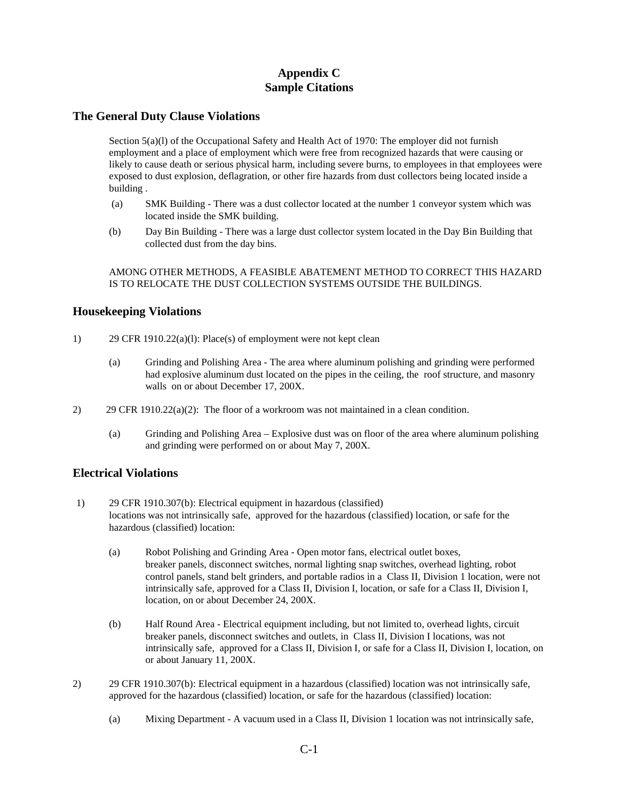# **Appendix C Sample Citations**

### **The General Duty Clause Violations**

Section 5(a)(1) of the Occupational Safety and Health Act of 1970: The employer did not furnish employment and a place of employment which were free from recognized hazards that were causing or likely to cause death or serious physical harm, including severe burns, to employees in that employees were exposed to dust explosion, deflagration, or other fire hazards from dust collectors being located inside a building .

- (a) SMK Building There was a dust collector located at the number 1 conveyor system which was located inside the SMK building.
- (b) Day Bin Building There was a large dust collector system located in the Day Bin Building that collected dust from the day bins.

AMONG OTHER METHODS, A FEASIBLE ABATEMENT METHOD TO CORRECT THIS HAZARD IS TO RELOCATE THE DUST COLLECTION SYSTEMS OUTSIDE THE BUILDINGS.

### **Housekeeping Violations**

- 1) 29 CFR 1910.22(a)(l): Place(s) of employment were not kept clean
	- (a) Grinding and Polishing Area The area where aluminum polishing and grinding were performed had explosive aluminum dust located on the pipes in the ceiling, the roof structure, and masonry walls on or about December 17, 200X.
- 2) 29 CFR 1910.22(a)(2): The floor of a workroom was not maintained in a clean condition.
	- (a) Grinding and Polishing Area Explosive dust was on floor of the area where aluminum polishing and grinding were performed on or about May 7, 200X.

### **Electrical Violations**

- 1) 29 CFR 1910.307(b): Electrical equipment in hazardous (classified) locations was not intrinsically safe, approved for the hazardous (classified) location, or safe for the hazardous (classified) location:
	- (a) Robot Polishing and Grinding Area Open motor fans, electrical outlet boxes, breaker panels, disconnect switches, normal lighting snap switches, overhead lighting, robot control panels, stand belt grinders, and portable radios in a Class II, Division 1 location, were not intrinsically safe, approved for a Class II, Division I, location, or safe for a Class II, Division I, location, on or about December 24, 200X.
	- (b) Half Round Area Electrical equipment including, but not limited to, overhead lights, circuit breaker panels, disconnect switches and outlets, in Class II, Division I locations, was not intrinsically safe, approved for a Class II, Division I, or safe for a Class II, Division I, location, on or about January 11, 200X.
- 2) 29 CFR 1910.307(b): Electrical equipment in a hazardous (classified) location was not intrinsically safe, approved for the hazardous (classified) location, or safe for the hazardous (classified) location:
	- (a) Mixing Department A vacuum used in a Class II, Division 1 location was not intrinsically safe,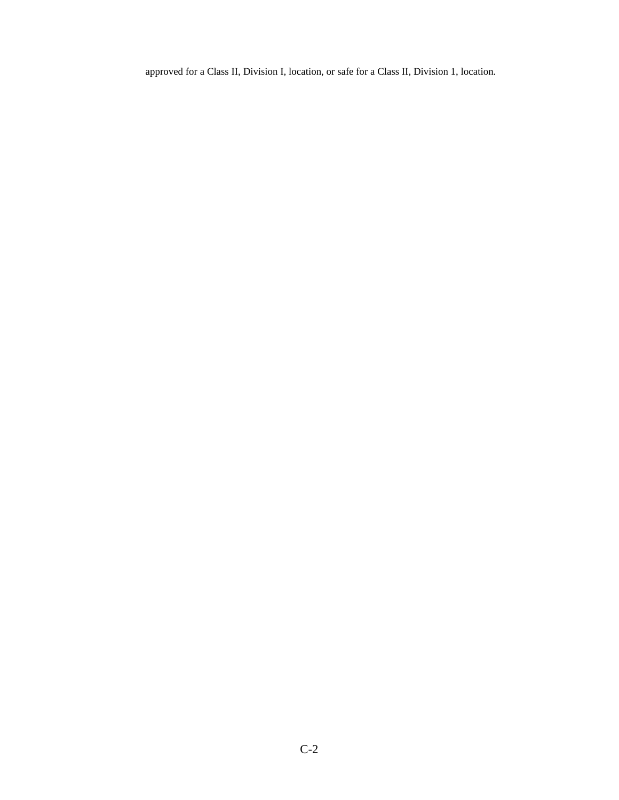approved for a Class II, Division I, location, or safe for a Class II, Division 1, location.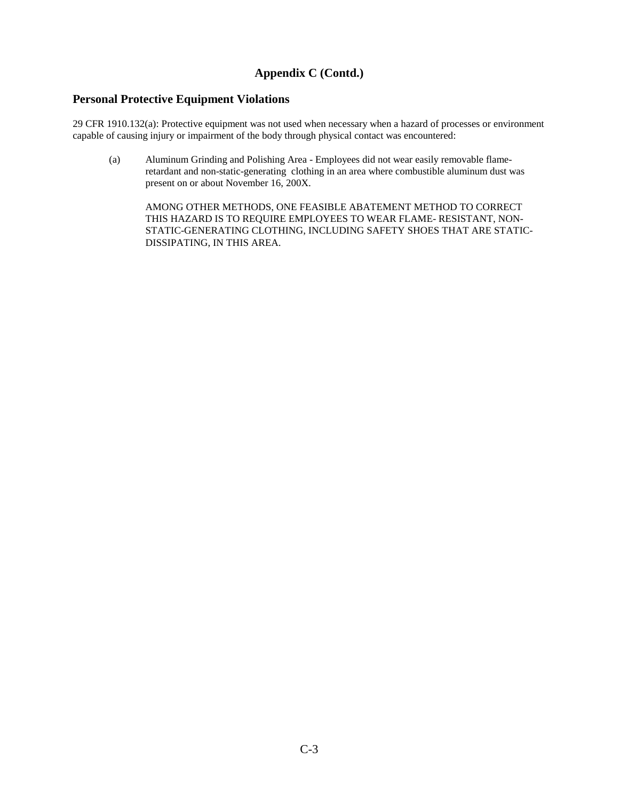# **Appendix C (Contd.)**

### **Personal Protective Equipment Violations**

29 CFR 1910.132(a): Protective equipment was not used when necessary when a hazard of processes or environment capable of causing injury or impairment of the body through physical contact was encountered:

(a) Aluminum Grinding and Polishing Area - Employees did not wear easily removable flameretardant and non-static-generating clothing in an area where combustible aluminum dust was present on or about November 16, 200X.

AMONG OTHER METHODS, ONE FEASIBLE ABATEMENT METHOD TO CORRECT THIS HAZARD IS TO REQUIRE EMPLOYEES TO WEAR FLAME- RESISTANT, NON-STATIC-GENERATING CLOTHING, INCLUDING SAFETY SHOES THAT ARE STATIC-DISSIPATING, IN THIS AREA.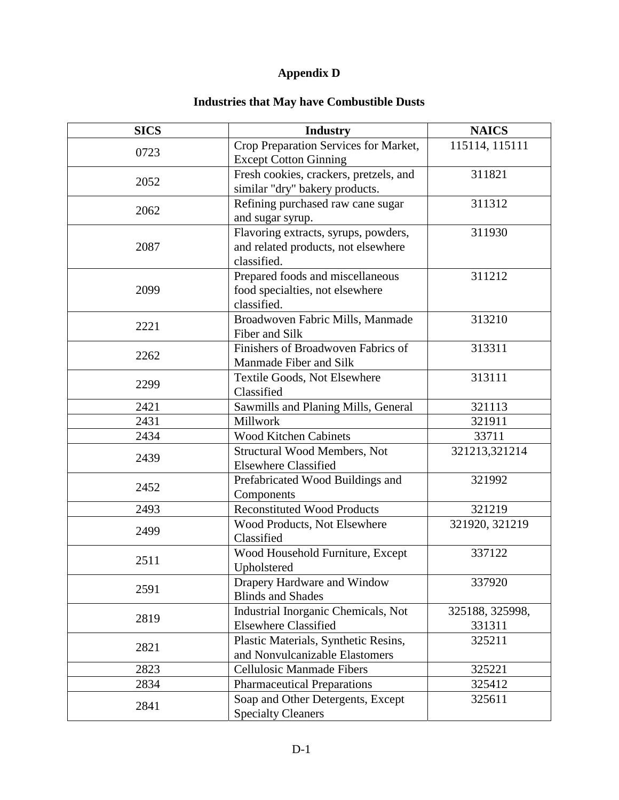# **Appendix D**

# **Industries that May have Combustible Dusts**

| <b>SICS</b> | <b>Industry</b>                                                                            | <b>NAICS</b>              |
|-------------|--------------------------------------------------------------------------------------------|---------------------------|
| 0723        | Crop Preparation Services for Market,<br><b>Except Cotton Ginning</b>                      | 115114, 115111            |
| 2052        | Fresh cookies, crackers, pretzels, and<br>similar "dry" bakery products.                   | 311821                    |
| 2062        | Refining purchased raw cane sugar<br>and sugar syrup.                                      | 311312                    |
| 2087        | Flavoring extracts, syrups, powders,<br>and related products, not elsewhere<br>classified. | 311930                    |
| 2099        | Prepared foods and miscellaneous<br>food specialties, not elsewhere<br>classified.         | 311212                    |
| 2221        | Broadwoven Fabric Mills, Manmade<br>Fiber and Silk                                         | 313210                    |
| 2262        | Finishers of Broadwoven Fabrics of<br>Manmade Fiber and Silk                               | 313311                    |
| 2299        | Textile Goods, Not Elsewhere<br>Classified                                                 | 313111                    |
| 2421        | Sawmills and Planing Mills, General                                                        | 321113                    |
| 2431        | Millwork                                                                                   | 321911                    |
| 2434        | Wood Kitchen Cabinets                                                                      | 33711                     |
| 2439        | <b>Structural Wood Members, Not</b><br><b>Elsewhere Classified</b>                         | 321213,321214             |
| 2452        | Prefabricated Wood Buildings and<br>Components                                             | 321992                    |
| 2493        | <b>Reconstituted Wood Products</b>                                                         | 321219                    |
| 2499        | Wood Products, Not Elsewhere<br>Classified                                                 | 321920, 321219            |
| 2511        | Wood Household Furniture, Except<br>Upholstered                                            | 337122                    |
| 2591        | Drapery Hardware and Window<br><b>Blinds and Shades</b>                                    | 337920                    |
| 2819        | Industrial Inorganic Chemicals, Not<br><b>Elsewhere Classified</b>                         | 325188, 325998,<br>331311 |
| 2821        | Plastic Materials, Synthetic Resins,<br>and Nonvulcanizable Elastomers                     | 325211                    |
| 2823        | <b>Cellulosic Manmade Fibers</b>                                                           | 325221                    |
| 2834        | <b>Pharmaceutical Preparations</b>                                                         | 325412                    |
| 2841        | Soap and Other Detergents, Except<br><b>Specialty Cleaners</b>                             | 325611                    |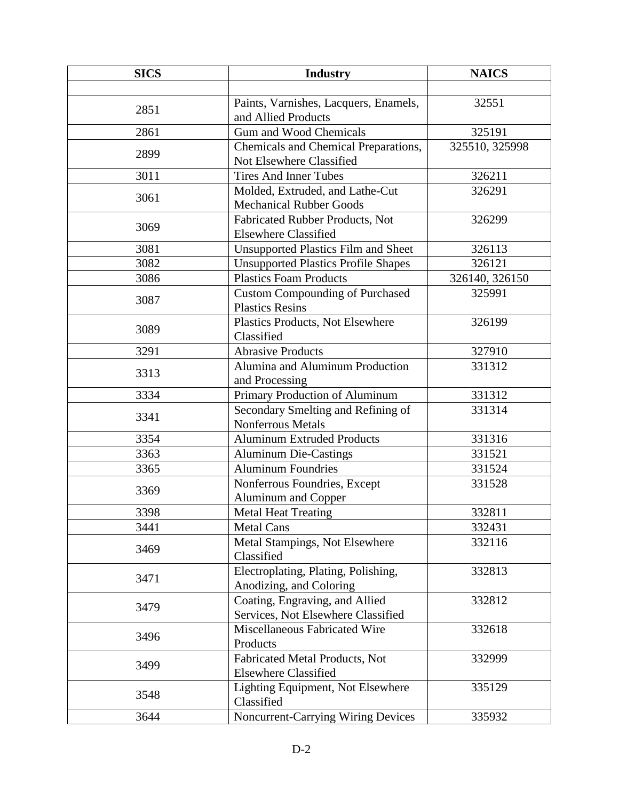| <b>SICS</b> | <b>Industry</b>                            | <b>NAICS</b>   |
|-------------|--------------------------------------------|----------------|
|             |                                            |                |
| 2851        | Paints, Varnishes, Lacquers, Enamels,      | 32551          |
|             | and Allied Products                        |                |
| 2861        | <b>Gum and Wood Chemicals</b>              | 325191         |
| 2899        | Chemicals and Chemical Preparations,       | 325510, 325998 |
|             | Not Elsewhere Classified                   |                |
| 3011        | <b>Tires And Inner Tubes</b>               | 326211         |
| 3061        | Molded, Extruded, and Lathe-Cut            | 326291         |
|             | <b>Mechanical Rubber Goods</b>             |                |
| 3069        | Fabricated Rubber Products, Not            | 326299         |
|             | <b>Elsewhere Classified</b>                |                |
| 3081        | <b>Unsupported Plastics Film and Sheet</b> | 326113         |
| 3082        | <b>Unsupported Plastics Profile Shapes</b> | 326121         |
| 3086        | <b>Plastics Foam Products</b>              | 326140, 326150 |
| 3087        | <b>Custom Compounding of Purchased</b>     | 325991         |
|             | <b>Plastics Resins</b>                     |                |
| 3089        | Plastics Products, Not Elsewhere           | 326199         |
|             | Classified                                 |                |
| 3291        | <b>Abrasive Products</b>                   | 327910         |
| 3313        | Alumina and Aluminum Production            | 331312         |
|             | and Processing                             |                |
| 3334        | Primary Production of Aluminum             | 331312         |
| 3341        | Secondary Smelting and Refining of         | 331314         |
|             | Nonferrous Metals                          |                |
| 3354        | <b>Aluminum Extruded Products</b>          | 331316         |
| 3363        | <b>Aluminum Die-Castings</b>               | 331521         |
| 3365        | <b>Aluminum Foundries</b>                  | 331524         |
| 3369        | Nonferrous Foundries, Except               | 331528         |
|             | Aluminum and Copper                        |                |
| 3398        | <b>Metal Heat Treating</b>                 | 332811         |
| 3441        | <b>Metal Cans</b>                          | 332431         |
| 3469        | Metal Stampings, Not Elsewhere             | 332116         |
|             | Classified                                 |                |
| 3471        | Electroplating, Plating, Polishing,        | 332813         |
|             | Anodizing, and Coloring                    |                |
| 3479        | Coating, Engraving, and Allied             | 332812         |
|             | Services, Not Elsewhere Classified         |                |
| 3496        | Miscellaneous Fabricated Wire              | 332618         |
|             | Products                                   |                |
| 3499        | Fabricated Metal Products, Not             | 332999         |
|             | <b>Elsewhere Classified</b>                |                |
| 3548        | Lighting Equipment, Not Elsewhere          | 335129         |
|             | Classified                                 |                |
| 3644        | Noncurrent-Carrying Wiring Devices         | 335932         |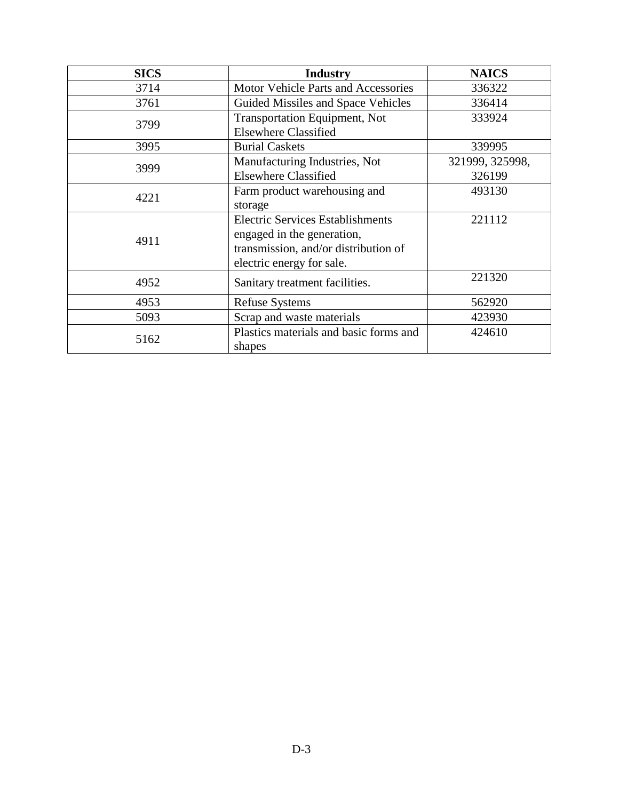| <b>SICS</b> | <b>Industry</b>                         | <b>NAICS</b>    |
|-------------|-----------------------------------------|-----------------|
| 3714        | Motor Vehicle Parts and Accessories     | 336322          |
| 3761        | Guided Missiles and Space Vehicles      | 336414          |
|             | <b>Transportation Equipment, Not</b>    | 333924          |
| 3799        | <b>Elsewhere Classified</b>             |                 |
| 3995        | <b>Burial Caskets</b>                   | 339995          |
| 3999        | Manufacturing Industries, Not           | 321999, 325998, |
|             | <b>Elsewhere Classified</b>             | 326199          |
| 4221        | Farm product warehousing and            | 493130          |
|             | storage                                 |                 |
|             | <b>Electric Services Establishments</b> | 221112          |
| 4911        | engaged in the generation,              |                 |
|             | transmission, and/or distribution of    |                 |
|             | electric energy for sale.               |                 |
| 4952        | Sanitary treatment facilities.          | 221320          |
| 4953        | <b>Refuse Systems</b>                   | 562920          |
| 5093        | Scrap and waste materials               | 423930          |
|             | Plastics materials and basic forms and  | 424610          |
| 5162        | shapes                                  |                 |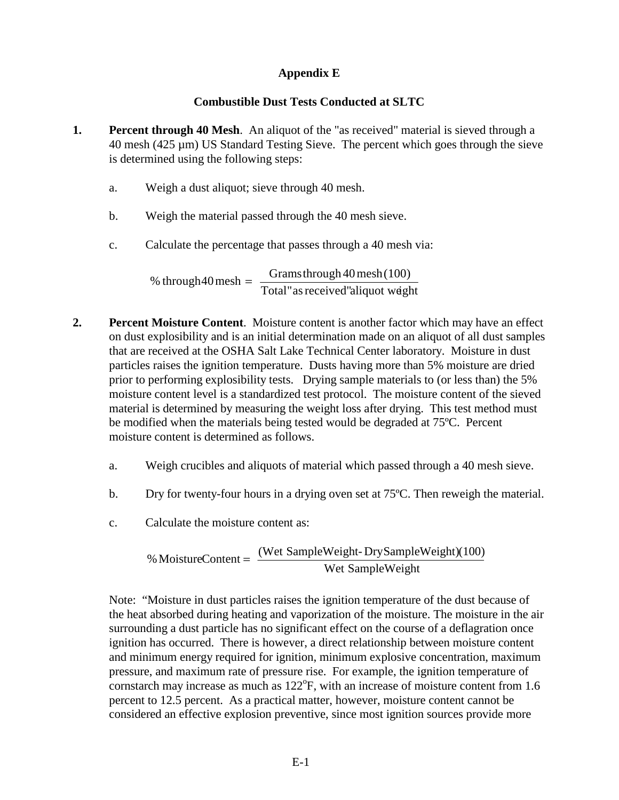## **Appendix E**

### **Combustible Dust Tests Conducted at SLTC**

- **1. Percent through 40 Mesh**. An aliquot of the "as received" material is sieved through a  $40$  mesh ( $425 \mu m$ ) US Standard Testing Sieve. The percent which goes through the sieve is determined using the following steps:
	- a. Weigh a dust aliquot; sieve through 40 mesh.
	- b. Weigh the material passed through the 40 mesh sieve.
	- c. Calculate the percentage that passes through a 40 mesh via:

% through 40 mesh  $=$   $\frac{Gramsthrought}{Total''$  as received"aliquot weight

- **2. Percent Moisture Content**. Moisture content is another factor which may have an effect on dust explosibility and is an initial determination made on an aliquot of all dust samples that are received at the OSHA Salt Lake Technical Center laboratory. Moisture in dust particles raises the ignition temperature. Dusts having more than 5% moisture are dried prior to performing explosibility tests. Drying sample materials to (or less than) the 5% moisture content level is a standardized test protocol. The moisture content of the sieved material is determined by measuring the weight loss after drying. This test method must be modified when the materials being tested would be degraded at 75ºC. Percent moisture content is determined as follows.
	- a. Weigh crucibles and aliquots of material which passed through a 40 mesh sieve.
	- b. Dry for twenty-four hours in a drying oven set at 75ºC. Then reweigh the material.
	- c. Calculate the moisture content as:

$$
\% MoistureContent = \frac{(Wet SampleWeight - DrySampleWeight)(100)}{Wet SampleWeight}
$$

Note: "Moisture in dust particles raises the ignition temperature of the dust because of the heat absorbed during heating and vaporization of the moisture. The moisture in the air surrounding a dust particle has no significant effect on the course of a deflagration once ignition has occurred. There is however, a direct relationship between moisture content and minimum energy required for ignition, minimum explosive concentration, maximum pressure, and maximum rate of pressure rise. For example, the ignition temperature of cornstarch may increase as much as  $122^{\circ}$ F, with an increase of moisture content from 1.6 percent to 12.5 percent. As a practical matter, however, moisture content cannot be considered an effective explosion preventive, since most ignition sources provide more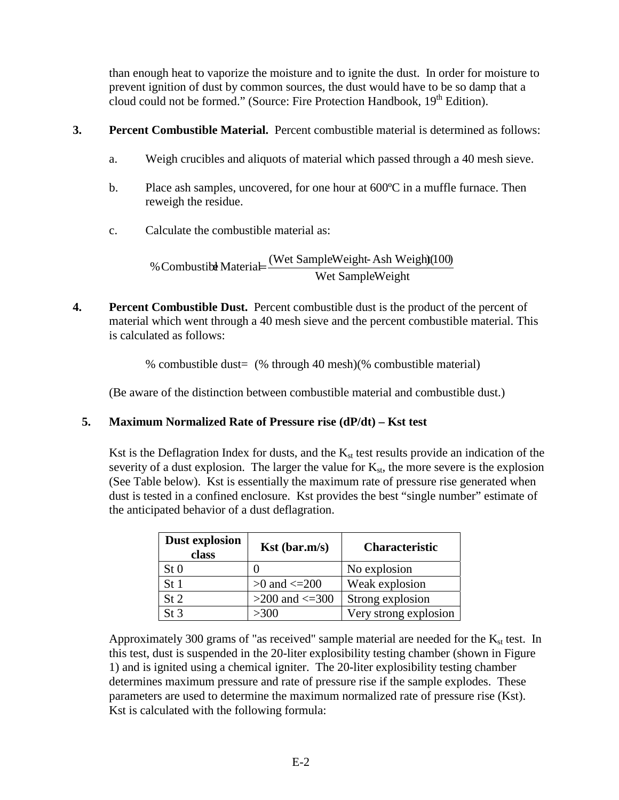than enough heat to vaporize the moisture and to ignite the dust. In order for moisture to prevent ignition of dust by common sources, the dust would have to be so damp that a cloud could not be formed." (Source: Fire Protection Handbook, 19<sup>th</sup> Edition).

- **3. Percent Combustible Material.** Percent combustible material is determined as follows:
	- a. Weigh crucibles and aliquots of material which passed through a 40 mesh sieve.
	- b. Place ash samples, uncovered, for one hour at 600ºC in a muffle furnace. Then reweigh the residue.
	- c. Calculate the combustible material as:

% Combustible Material= $\frac{\text{(Wet SampleWeight-Ash Weight}}{\text{Wet SampleWeight}}$ 

**4.** Percent Combustible Dust. Percent combustible dust is the product of the percent of material which went through a 40 mesh sieve and the percent combustible material. This is calculated as follows:

% combustible dust= (% through 40 mesh)(% combustible material)

(Be aware of the distinction between combustible material and combustible dust.)

# **5. Maximum Normalized Rate of Pressure rise (dP/dt) – Kst test**

Kst is the Deflagration Index for dusts, and the  $K_{st}$  test results provide an indication of the severity of a dust explosion. The larger the value for  $K_{st}$ , the more severe is the explosion (See Table below). Kst is essentially the maximum rate of pressure rise generated when dust is tested in a confined enclosure. Kst provides the best "single number" estimate of the anticipated behavior of a dust deflagration.

| Dust explosion<br>class | $Kst$ (bar.m/s)       | <b>Characteristic</b> |
|-------------------------|-----------------------|-----------------------|
| St <sub>0</sub>         |                       | No explosion          |
| St <sub>1</sub>         | $>0$ and $\leq$ = 200 | Weak explosion        |
| St 2                    | $>200$ and $\leq 300$ | Strong explosion      |
| St <sub>3</sub>         | >300                  | Very strong explosion |

Approximately 300 grams of "as received" sample material are needed for the  $K_{st}$  test. In this test, dust is suspended in the 20-liter explosibility testing chamber (shown in Figure 1) and is ignited using a chemical igniter. The 20-liter explosibility testing chamber determines maximum pressure and rate of pressure rise if the sample explodes. These parameters are used to determine the maximum normalized rate of pressure rise (Kst). Kst is calculated with the following formula: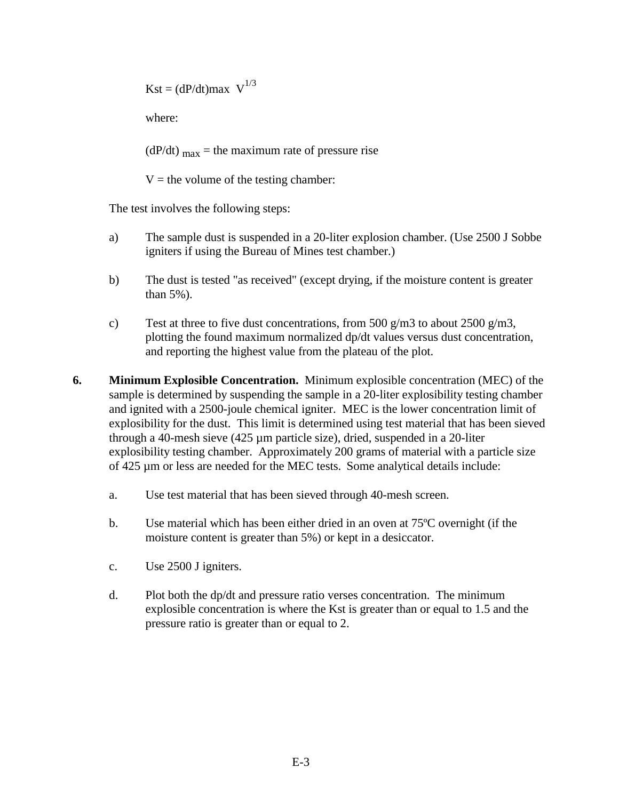$Kst = (dP/dt)max \ V^{1/3}$ 

where:

 $(dP/dt)$  <sub>max</sub> = the maximum rate of pressure rise

 $V =$  the volume of the testing chamber:

The test involves the following steps:

- a) The sample dust is suspended in a 20-liter explosion chamber. (Use 2500 J Sobbe igniters if using the Bureau of Mines test chamber.)
- b) The dust is tested "as received" (except drying, if the moisture content is greater than 5%).
- c) Test at three to five dust concentrations, from 500 g/m3 to about 2500 g/m3, plotting the found maximum normalized dp/dt values versus dust concentration, and reporting the highest value from the plateau of the plot.
- **6. Minimum Explosible Concentration.** Minimum explosible concentration (MEC) of the sample is determined by suspending the sample in a 20-liter explosibility testing chamber and ignited with a 2500-joule chemical igniter. MEC is the lower concentration limit of explosibility for the dust. This limit is determined using test material that has been sieved through a 40-mesh sieve (425 µm particle size), dried, suspended in a 20-liter explosibility testing chamber. Approximately 200 grams of material with a particle size of 425 µm or less are needed for the MEC tests. Some analytical details include:
	- a. Use test material that has been sieved through 40-mesh screen.
	- b. Use material which has been either dried in an oven at 75ºC overnight (if the moisture content is greater than 5%) or kept in a desiccator.
	- c. Use 2500 J igniters.
	- d. Plot both the dp/dt and pressure ratio verses concentration. The minimum explosible concentration is where the Kst is greater than or equal to 1.5 and the pressure ratio is greater than or equal to 2.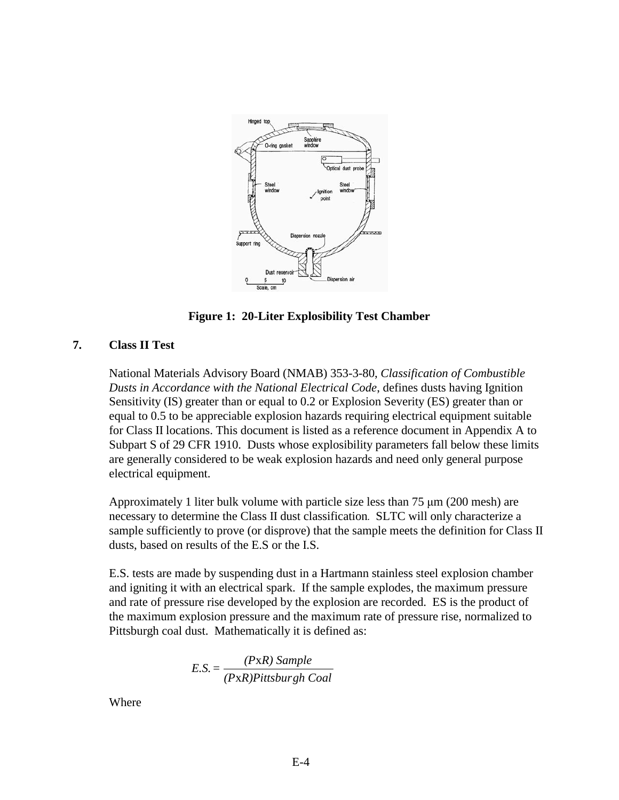

**Figure 1: 20-Liter Explosibility Test Chamber** 

### **7. Class II Test**

National Materials Advisory Board (NMAB) 353-3-80, *Classification of Combustible Dusts in Accordance with the National Electrical Code*, defines dusts having Ignition Sensitivity (IS) greater than or equal to 0.2 or Explosion Severity (ES) greater than or equal to 0.5 to be appreciable explosion hazards requiring electrical equipment suitable for Class II locations. This document is listed as a reference document in Appendix A to Subpart S of 29 CFR 1910. Dusts whose explosibility parameters fall below these limits are generally considered to be weak explosion hazards and need only general purpose electrical equipment.

Approximately 1 liter bulk volume with particle size less than 75 μm (200 mesh) are necessary to determine the Class II dust classification*.* SLTC will only characterize a sample sufficiently to prove (or disprove) that the sample meets the definition for Class II dusts, based on results of the E.S or the I.S.

E.S. tests are made by suspending dust in a Hartmann stainless steel explosion chamber and igniting it with an electrical spark. If the sample explodes, the maximum pressure and rate of pressure rise developed by the explosion are recorded. ES is the product of the maximum explosion pressure and the maximum rate of pressure rise, normalized to Pittsburgh coal dust. Mathematically it is defined as:

$$
E.S. = \frac{(PXR) Sample}{(PXR) Pittsburgh\,Coal}
$$

Where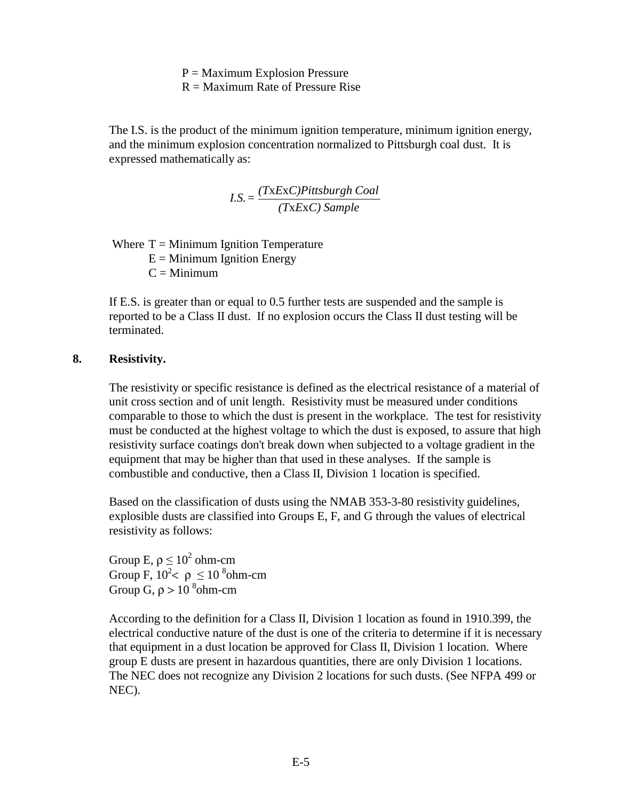$P =$ Maximum Explosion Pressure

 $R =$ Maximum Rate of Pressure Rise

The I.S. is the product of the minimum ignition temperature, minimum ignition energy, and the minimum explosion concentration normalized to Pittsburgh coal dust. It is expressed mathematically as:

$$
I.S. = \frac{(TxExC)Pittsburgh\text{ }Coal}{(TxExC)\text{ }Sample}
$$

Where  $T =$  Minimum Ignition Temperature  $E =$  Minimum Ignition Energy  $C =$ Minimum

If E.S. is greater than or equal to 0.5 further tests are suspended and the sample is reported to be a Class II dust. If no explosion occurs the Class II dust testing will be terminated.

### **8. Resistivity.**

The resistivity or specific resistance is defined as the electrical resistance of a material of unit cross section and of unit length. Resistivity must be measured under conditions comparable to those to which the dust is present in the workplace. The test for resistivity must be conducted at the highest voltage to which the dust is exposed, to assure that high resistivity surface coatings don't break down when subjected to a voltage gradient in the equipment that may be higher than that used in these analyses. If the sample is combustible and conductive, then a Class II, Division 1 location is specified.

Based on the classification of dusts using the NMAB 353-3-80 resistivity guidelines, explosible dusts are classified into Groups E, F, and G through the values of electrical resistivity as follows:

Group E,  $\rho \leq 10^2$  ohm-cm Group F,  $10^2 < \rho \leq 10^8$ ohm-cm Group G,  $\rho > 10^{-8}$ ohm-cm

According to the definition for a Class II, Division 1 location as found in 1910.399, the electrical conductive nature of the dust is one of the criteria to determine if it is necessary that equipment in a dust location be approved for Class II, Division 1 location. Where group E dusts are present in hazardous quantities, there are only Division 1 locations. The NEC does not recognize any Division 2 locations for such dusts. (See NFPA 499 or NEC).